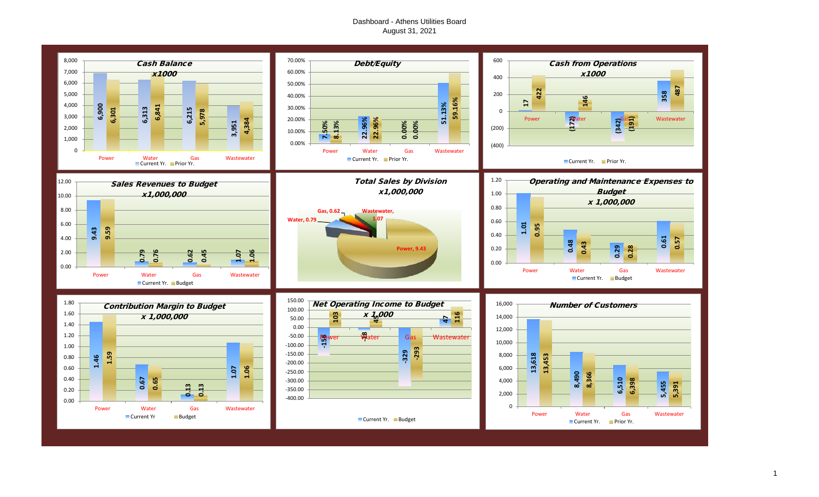# Dashboard - Athens Utilities Board August 31, 2021

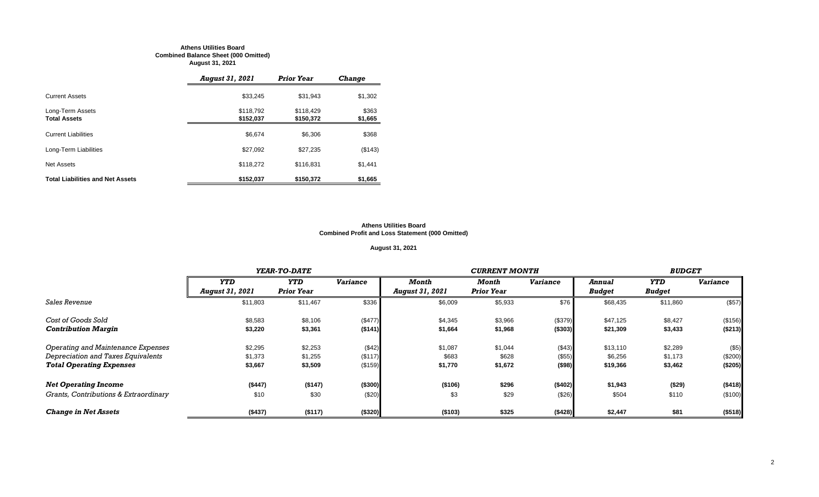#### **Athens Utilities Board Combined Balance Sheet (000 Omitted) August 31, 2021**

|                                         | <b>August 31, 2021</b> | <b>Prior Year</b>      | <b>Change</b>    |
|-----------------------------------------|------------------------|------------------------|------------------|
| <b>Current Assets</b>                   | \$33.245               | \$31.943               | \$1,302          |
| Long-Term Assets<br><b>Total Assets</b> | \$118,792<br>\$152,037 | \$118.429<br>\$150,372 | \$363<br>\$1,665 |
| <b>Current Liabilities</b>              | \$6.674                | \$6,306                | \$368            |
| Long-Term Liabilities                   | \$27,092               | \$27,235               | (\$143)          |
| Net Assets                              | \$118,272              | \$116,831              | \$1,441          |
| <b>Total Liabilities and Net Assets</b> | \$152,037              | \$150,372              | \$1,665          |

#### **Athens Utilities Board Combined Profit and Loss Statement (000 Omitted)**

# **August 31, 2021**

|                                       |                        | YEAR-TO-DATE      |                 |                        | <b>CURRENT MONTH</b> |                 | <b>BUDGET</b> |               |                 |
|---------------------------------------|------------------------|-------------------|-----------------|------------------------|----------------------|-----------------|---------------|---------------|-----------------|
|                                       | <b>YTD</b>             | <b>YTD</b>        | <b>Variance</b> | Month                  | Month                | <b>Variance</b> | Annual        | <b>YTD</b>    | <b>Variance</b> |
|                                       | <b>August 31, 2021</b> | <b>Prior Year</b> |                 | <b>August 31, 2021</b> | <b>Prior Year</b>    |                 | <b>Budget</b> | <b>Budget</b> |                 |
| <b>Sales Revenue</b>                  | \$11,803               | \$11,467          | \$336           | \$6,009                | \$5,933              | \$76            | \$68,435      | \$11,860      | (\$57)          |
| Cost of Goods Sold                    | \$8,583                | \$8,106           | (\$477)         | \$4,345                | \$3,966              | (\$379)         | \$47,125      | \$8,427       | (\$156)         |
| <b>Contribution Margin</b>            | \$3,220                | \$3,361           | ( \$141)        | \$1,664                | \$1,968              | ( \$303)        | \$21,309      | \$3,433       | ( \$213)        |
| Operating and Maintenance Expenses    | \$2,295                | \$2,253           | (\$42)          | \$1,087                | \$1,044              | (\$43)          | \$13,110      | \$2,289       | (\$5)           |
| Depreciation and Taxes Equivalents    | \$1,373                | \$1,255           | (\$117)         | \$683                  | \$628                | (\$55)          | \$6,256       | \$1,173       | (\$200)         |
| <b>Total Operating Expenses</b>       | \$3,667                | \$3,509           | (\$159)         | \$1,770                | \$1,672              | ( \$98)         | \$19,366      | \$3,462       | (\$205)         |
| <b>Net Operating Income</b>           | (\$447)                | ( \$147)          | (\$300)         | (\$106)                | \$296                | (\$402)         | \$1,943       | (\$29)        | ( \$418)        |
| Grants, Contributions & Extraordinary | \$10                   | \$30              | (\$20)          | \$3                    | \$29                 | (\$26)          | \$504         | \$110         | (\$100)         |
| <b>Change in Net Assets</b>           | (\$437)                | ( \$117)          | (\$320)         | (\$103)                | \$325                | (\$428)         | \$2,447       | \$81          | ( \$518)        |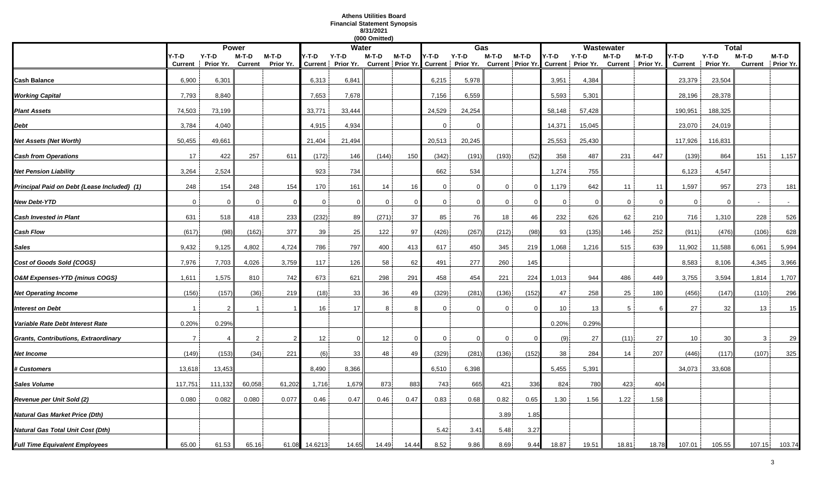# **Athens Utilities Board Financial Statement Synopsis 8/31/2021**

|                                             |                |                |                |                |         |                                                                                                     | (000 Omitted)   |          |              |          |              |          |              |         |              |                   |                |              |                |                   |
|---------------------------------------------|----------------|----------------|----------------|----------------|---------|-----------------------------------------------------------------------------------------------------|-----------------|----------|--------------|----------|--------------|----------|--------------|---------|--------------|-------------------|----------------|--------------|----------------|-------------------|
|                                             |                |                | <b>Power</b>   |                |         | <b>Water</b>                                                                                        |                 |          |              | Gas      |              |          |              |         | Wastewater   |                   |                | <b>Total</b> |                |                   |
|                                             | Y-T-D          | $Y-T-D$        | M-T-D          | $M-T-D$        | Y-T-D   | Y-T-D                                                                                               | M-T-D           | M-T-D    | Y-T-D        | $Y-T-D$  | M-T-D        | $M-T-D$  | 4-T-D        | $Y-T-D$ | $M-T-D$      | $M-T-D$           | Y-T-D          | $Y-T-D$      | $M-T-D$        | M-T-D             |
|                                             | Current        | Prior Yr.      | <b>Current</b> | Prior Yr.      |         | Current   Prior Yr. Current   Prior Yr. Current   Prior Yr. Current   Prior Yr. Current   Prior Yr. |                 |          |              |          |              |          |              |         |              | Current Prior Yr. | <b>Current</b> | Prior Yr.    |                | Current Prior Yr. |
| Cash Balance                                | 6,900          | 6,301          |                |                | 6,313   | 6,841                                                                                               |                 |          | 6,215        | 5,978    |              |          | 3,951        | 4,384   |              |                   | 23,379         | 23,504       |                |                   |
| <b>Working Capital</b>                      | 7,793          | 8,840          |                |                | 7,653   | 7,678                                                                                               |                 |          | 7,156        | 6,559    |              |          | 5,593        | 5,301   |              |                   | 28,196         | 28,378       |                |                   |
| <b>Plant Assets</b>                         | 74,503         | 73,199         |                |                | 33,771  | 33,444                                                                                              |                 |          | 24,529       | 24,254   |              |          | 58,148       | 57,428  |              |                   | 190,951        | 188,325      |                |                   |
| Debt                                        | 3,784          | 4,040          |                |                | 4,915   | 4,934                                                                                               |                 |          | $\Omega$     | $\Omega$ |              |          | 14,371       | 15,045  |              |                   | 23,070         | 24,019       |                |                   |
| Net Assets (Net Worth)                      | 50,455         | 49,661         |                |                | 21,404  | 21,494                                                                                              |                 |          | 20,513       | 20,245   |              |          | 25,553       | 25,430  |              |                   | 117,926        | 116,831      |                |                   |
| <b>Cash from Operations</b>                 | 17             | 422            | 257            | 611            | (172)   | 146                                                                                                 | (144)           | 150      | (342)        | (191)    | (193)        | (52)     | 358          | 487     | 231          | 447               | (139)          | 864          | 151            | 1,157             |
| <b>Net Pension Liability</b>                | 3,264          | 2,524          |                |                | 923     | 734                                                                                                 |                 |          | 662          | 534      |              |          | 1,274        | 755     |              |                   | 6,123          | 4,547        |                |                   |
| Principal Paid on Debt {Lease Included} (1) | 248            | 154            | 248            | 154            | 170     | 161                                                                                                 | 14              | 16       | 0            | $\Omega$ | $\mathbf 0$  | $\Omega$ | 1,179        | 642     | 11           | 11                | 1,597          | 957          | 273            | 181               |
| New Debt-YTD                                | $\overline{0}$ | $\Omega$       | $\mathbf{0}$   | $\Omega$       | 0       | $\Omega$                                                                                            | $\mathbf 0$     | $\Omega$ | $\Omega$     | $\Omega$ | $\mathbf{0}$ |          | $\mathbf{0}$ | 0       | $\mathbf{0}$ |                   | $\mathbf 0$    | $\Omega$     | $\overline{a}$ | $\sim$            |
| <b>Cash Invested in Plant</b>               | 631            | 518            | 418            | 233            | (232)   | 89                                                                                                  | (271)           | 37       | 85           | 76       | 18           | 46       | 232          | 626     | 62           | 210               | 716            | 1,310        | 228            | 526               |
| Cash Flow                                   | (617)          | (98)           | (162)          | 377            | 39      | 25                                                                                                  | 122             | 97       | (426)        | (267)    | (212)        | (98)     | 93           | (135)   | 146          | 252               | (911)          | (476)        | (106)          | 628               |
| Sales                                       | 9,432          | 9,125          | 4,802          | 4,724          | 786     | 797                                                                                                 | 400             | 413      | 617          | 450      | 345          | 219      | 1,068        | 1,216   | 515          | 639               | 11,902         | 11,588       | 6,061          | 5,994             |
| Cost of Goods Sold {COGS}                   | 7,976          | 7,703          | 4,026          | 3,759          | 117     | 126                                                                                                 | 58              | 62       | 491          | 277      | 260          | 145      |              |         |              |                   | 8,583          | 8,106        | 4,345          | 3,966             |
| O&M Expenses-YTD {minus COGS}               | 1,611          | 1,575          | 810            | 742            | 673     | 621                                                                                                 | 298             | 291      | 458          | 454      | 221          | 224      | 1,013        | 944     | 486          | 449               | 3,755          | 3,594        | 1,814          | 1,707             |
| <b>Net Operating Income</b>                 | (156)          | (157)          | (36)           | 219            | (18)    | 33                                                                                                  | 36              | 49       | (329)        | (281)    | (136)        | (152)    | 47           | 258     | 25           | 180               | (456)          | (147)        | (110)          | 296               |
| <b>Interest on Debt</b>                     |                | 2              |                |                | 16      | 17                                                                                                  | 8               |          | $\Omega$     | $\Omega$ | 0            |          | 10           | 13      | 5            |                   | 27             | 32           | 13             | 15                |
| Variable Rate Debt Interest Rate            | 0.20%          | 0.29%          |                |                |         |                                                                                                     |                 |          |              |          |              |          | 0.20%        | 0.29%   |              |                   |                |              |                |                   |
| Grants, Contributions, Extraordinary        | $\overline{7}$ | $\overline{4}$ | $\overline{2}$ | $\overline{2}$ | 12      | $\Omega$                                                                                            | 12 <sup>°</sup> | $\Omega$ | $\mathbf{0}$ | $\Omega$ | $\Omega$     | $\Omega$ | (9)          | 27      | (11)         | 27                | 10             | 30           | 3              | 29                |
| Net Income                                  | (149)          | (153)          | (34)           | 221            | (6)     | 33                                                                                                  | 48              | 49       | (329)        | (281)    | (136)        | (152)    | 38           | 284     | 14           | 207               | (446)          | (117)        | (107)          | 325               |
| <b>‡ Customers</b>                          | 13,618         | 13,453         |                |                | 8,490   | 8,366                                                                                               |                 |          | 6,510        | 6,398    |              |          | 5,455        | 5,391   |              |                   | 34,073         | 33,608       |                |                   |
| Sales Volume                                | 117,751        | 111,132        | 60,058         | 61,202         | 1,716   | 1,679                                                                                               | 873             | 883      | 743          | 665      | 421          | 336      | 824          | 780     | 423          | 404               |                |              |                |                   |
| Revenue per Unit Sold (2)                   | 0.080          | 0.082          | 0.080          | 0.077          | 0.46    | 0.47                                                                                                | 0.46            | 0.47     | 0.83         | 0.68     | 0.82         | 0.65     | 1.30         | 1.56    | 1.22         | 1.58              |                |              |                |                   |
| Natural Gas Market Price (Dth)              |                |                |                |                |         |                                                                                                     |                 |          |              |          | 3.89         | 1.85     |              |         |              |                   |                |              |                |                   |
| Natural Gas Total Unit Cost (Dth)           |                |                |                |                |         |                                                                                                     |                 |          | 5.42         | 3.41     | 5.48         | 3.27     |              |         |              |                   |                |              |                |                   |
| <b>Full Time Equivalent Employees</b>       | 65.00          | 61.53          | 65.16          | 61.08          | 14.6213 | 14.65                                                                                               | 14.49           | 14.44    | 8.52         | 9.86     | 8.69         | 9.44     | 18.87        | 19.51   | 18.81        | 18.78             | 107.01         | 105.55       | 107.15         | 103.74            |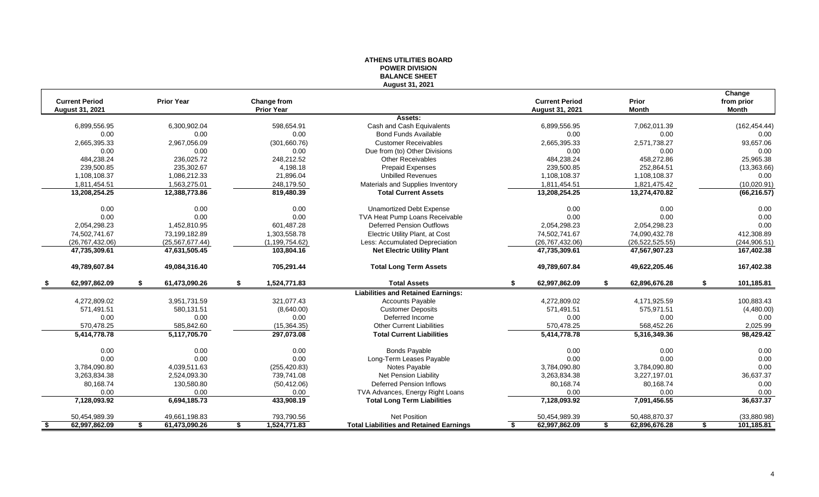|     |                                          |                     |            |                                  |                  | <b>BALANCE SHEET</b>                           | ווטוטוזושות השיר |     |                                          |    |                       |    |                                      |
|-----|------------------------------------------|---------------------|------------|----------------------------------|------------------|------------------------------------------------|------------------|-----|------------------------------------------|----|-----------------------|----|--------------------------------------|
|     |                                          |                     |            |                                  |                  | August 31, 2021                                |                  |     |                                          |    |                       |    |                                      |
|     | <b>Current Period</b><br>August 31, 2021 | <b>Prior Year</b>   |            | Change from<br><b>Prior Year</b> |                  |                                                |                  |     | <b>Current Period</b><br>August 31, 2021 |    | Prior<br><b>Month</b> |    | Change<br>from prior<br><b>Month</b> |
|     |                                          |                     |            |                                  |                  | Assets:                                        |                  |     |                                          |    |                       |    |                                      |
|     | 6,899,556.95                             | 6,300,902.04        |            |                                  | 598,654.91       | Cash and Cash Equivalents                      |                  |     | 6,899,556.95                             |    | 7,062,011.39          |    | (162, 454.44)                        |
|     | 0.00                                     |                     | 0.00       |                                  | 0.00             | <b>Bond Funds Available</b>                    |                  |     | 0.00                                     |    | 0.00                  |    | 0.00                                 |
|     | 2,665,395.33                             | 2,967,056.09        |            |                                  | (301,660.76)     | <b>Customer Receivables</b>                    |                  |     | 2,665,395.33                             |    | 2,571,738.27          |    | 93,657.06                            |
|     | 0.00                                     |                     | 0.00       |                                  | 0.00             | Due from (to) Other Divisions                  |                  |     | 0.00                                     |    | 0.00                  |    | 0.00                                 |
|     | 484,238.24                               |                     | 236,025.72 |                                  | 248,212.52       | <b>Other Receivables</b>                       |                  |     | 484,238.24                               |    | 458,272.86            |    | 25,965.38                            |
|     | 239,500.85                               |                     | 235,302.67 |                                  | 4,198.18         | <b>Prepaid Expenses</b>                        |                  |     | 239,500.85                               |    | 252,864.51            |    | (13,363.66)                          |
|     | 1,108,108.37                             | 1,086,212.33        |            |                                  | 21,896.04        | <b>Unbilled Revenues</b>                       |                  |     | 1,108,108.37                             |    | 1,108,108.37          |    | 0.00                                 |
|     | 1,811,454.51                             | 1,563,275.01        |            |                                  | 248,179.50       | Materials and Supplies Inventory               |                  |     | 1,811,454.51                             |    | 1,821,475.42          |    | (10,020.91)                          |
|     | 13,208,254.25                            | 12,388,773.86       |            |                                  | 819,480.39       | <b>Total Current Assets</b>                    |                  |     | 13,208,254.25                            |    | 13,274,470.82         |    | (66, 216.57)                         |
|     | 0.00                                     |                     | 0.00       |                                  | 0.00             | <b>Unamortized Debt Expense</b>                |                  |     | 0.00                                     |    | 0.00                  |    | 0.00                                 |
|     | 0.00                                     |                     | 0.00       |                                  | 0.00             | TVA Heat Pump Loans Receivable                 |                  |     | 0.00                                     |    | 0.00                  |    | 0.00                                 |
|     | 2,054,298.23                             | 1,452,810.95        |            |                                  | 601,487.28       | <b>Deferred Pension Outflows</b>               |                  |     | 2,054,298.23                             |    | 2,054,298.23          |    | 0.00                                 |
|     | 74,502,741.67                            | 73,199,182.89       |            |                                  | 1,303,558.78     | Electric Utility Plant, at Cost                |                  |     | 74,502,741.67                            |    | 74,090,432.78         |    | 412,308.89                           |
|     | (26, 767, 432.06)                        | (25, 567, 677.44)   |            |                                  | (1, 199, 754.62) | Less: Accumulated Depreciation                 |                  |     | (26, 767, 432.06)                        |    | (26, 522, 525.55)     |    | (244, 906.51)                        |
|     | 47,735,309.61                            | 47,631,505.45       |            |                                  | 103,804.16       | <b>Net Electric Utility Plant</b>              |                  |     | 47,735,309.61                            |    | 47,567,907.23         |    | 167,402.38                           |
|     | 49,789,607.84                            | 49,084,316.40       |            |                                  | 705,291.44       | <b>Total Long Term Assets</b>                  |                  |     | 49,789,607.84                            |    | 49,622,205.46         |    | 167,402.38                           |
|     | 62,997,862.09                            | 61,473,090.26       |            | \$                               | 1,524,771.83     | <b>Total Assets</b>                            |                  | \$. | 62,997,862.09                            | S  | 62,896,676.28         | £. | 101,185.81                           |
|     |                                          |                     |            |                                  |                  | <b>Liabilities and Retained Earnings:</b>      |                  |     |                                          |    |                       |    |                                      |
|     | 4,272,809.02                             | 3,951,731.59        |            |                                  | 321,077.43       | <b>Accounts Payable</b>                        |                  |     | 4,272,809.02                             |    | 4,171,925.59          |    | 100,883.43                           |
|     | 571.491.51                               |                     | 580.131.51 |                                  | (8,640.00)       | <b>Customer Deposits</b>                       |                  |     | 571.491.51                               |    | 575,971.51            |    | (4,480.00)                           |
|     | 0.00                                     |                     | 0.00       |                                  | 0.00             | Deferred Income                                |                  |     | 0.00                                     |    | 0.00                  |    | 0.00                                 |
|     | 570,478.25                               |                     | 585,842.60 |                                  | (15, 364.35)     | <b>Other Current Liabilities</b>               |                  |     | 570,478.25                               |    | 568,452.26            |    | 2,025.99                             |
|     | 5,414,778.78                             | 5,117,705.70        |            |                                  | 297,073.08       | <b>Total Current Liabilities</b>               |                  |     | 5,414,778.78                             |    | 5,316,349.36          |    | 98,429.42                            |
|     | 0.00                                     |                     | 0.00       |                                  | 0.00             | <b>Bonds Payable</b>                           |                  |     | 0.00                                     |    | 0.00                  |    | 0.00                                 |
|     | 0.00                                     |                     | 0.00       |                                  | 0.00             | Long-Term Leases Payable                       |                  |     | 0.00                                     |    | 0.00                  |    | 0.00                                 |
|     | 3,784,090.80                             | 4,039,511.63        |            |                                  | (255, 420.83)    | Notes Payable                                  |                  |     | 3,784,090.80                             |    | 3,784,090.80          |    | 0.00                                 |
|     | 3,263,834.38                             | 2,524,093.30        |            |                                  | 739,741.08       | Net Pension Liability                          |                  |     | 3,263,834.38                             |    | 3,227,197.01          |    | 36,637.37                            |
|     | 80,168.74                                |                     | 130,580.80 |                                  | (50, 412.06)     | <b>Deferred Pension Inflows</b>                |                  |     | 80,168.74                                |    | 80,168.74             |    | 0.00                                 |
|     | 0.00                                     |                     | 0.00       |                                  | 0.00             | TVA Advances, Energy Right Loans               |                  |     | 0.00                                     |    | 0.00                  |    | 0.00                                 |
|     | 7,128,093.92                             | 6,694,185.73        |            |                                  | 433,908.19       | <b>Total Long Term Liabilities</b>             |                  |     | 7,128,093.92                             |    | 7,091,456.55          |    | 36,637.37                            |
|     | 50,454,989.39                            | 49,661,198.83       |            |                                  | 793,790.56       | <b>Net Position</b>                            |                  |     | 50,454,989.39                            |    | 50,488,870.37         |    | (33,880.98)                          |
| -\$ | 62,997,862.09                            | 61,473,090.26<br>\$ |            | \$                               | 1,524,771.83     | <b>Total Liabilities and Retained Earnings</b> |                  | \$  | 62,997,862.09                            | \$ | 62,896,676.28         | \$ | 101,185.81                           |

# **ATHENS UTILITIES BOARD POWER DIVISION**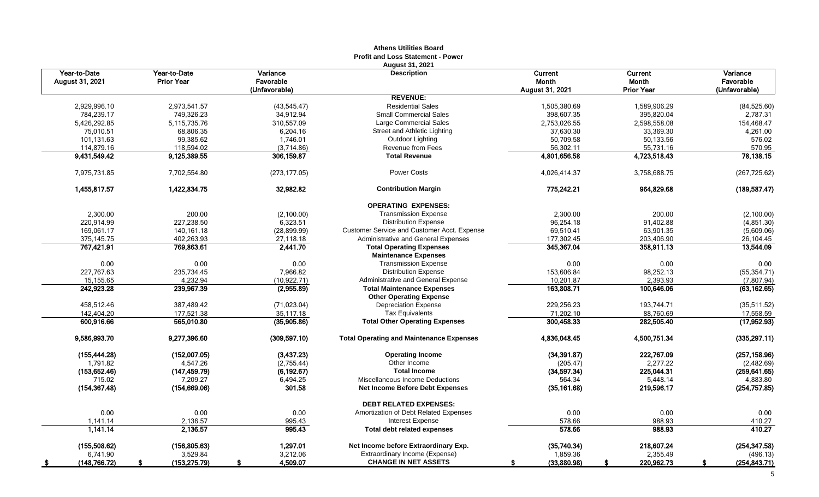|                                 |                                   |                                        | Athens Utilities Board<br><b>Profit and Loss Statement - Power</b> |                                     |                                |                                        |
|---------------------------------|-----------------------------------|----------------------------------------|--------------------------------------------------------------------|-------------------------------------|--------------------------------|----------------------------------------|
| Year-to-Date<br>August 31, 2021 | Year-to-Date<br><b>Prior Year</b> | Variance<br>Favorable<br>(Unfavorable) | <b>August 31, 2021</b><br><b>Description</b>                       | Current<br>Month<br>August 31, 2021 | Current<br>Month<br>Prior Year | Variance<br>Favorable<br>(Unfavorable) |
|                                 |                                   |                                        | <b>REVENUE:</b>                                                    |                                     |                                |                                        |
| 2,929,996.10                    | 2,973,541.57                      | (43, 545.47)                           | <b>Residential Sales</b>                                           | 1,505,380.69                        | 1,589,906.29                   | (84, 525.60)                           |
| 784,239.17                      | 749,326.23                        | 34,912.94                              | <b>Small Commercial Sales</b>                                      | 398,607.35                          | 395,820.04                     | 2,787.31                               |
| 5,426,292.85                    | 5,115,735.76                      | 310,557.09                             | Large Commercial Sales                                             | 2,753,026.55                        | 2,598,558.08                   | 154,468.47                             |
| 75,010.51                       | 68,806.35                         | 6,204.16                               | Street and Athletic Lighting                                       | 37,630.30                           | 33,369.30                      | 4,261.00                               |
| 101,131.63                      | 99,385.62                         | 1,746.01                               | Outdoor Lighting                                                   | 50,709.58                           | 50,133.56                      | 576.02                                 |
| 114,879.16                      | 118,594.02                        | (3,714.86)                             | <b>Revenue from Fees</b>                                           | 56,302.11                           | 55,731.16                      | 570.95                                 |
| 9,431,549.42                    | 9,125,389.55                      | 306,159.87                             | <b>Total Revenue</b>                                               | 4,801,656.58                        | 4,723,518.43                   | 78,138.15                              |
| 7,975,731.85                    | 7,702,554.80                      | (273, 177.05)                          | <b>Power Costs</b>                                                 | 4,026,414.37                        | 3,758,688.75                   | (267, 725.62)                          |
| 1,455,817.57                    | 1,422,834.75                      | 32,982.82                              | <b>Contribution Margin</b>                                         | 775,242.21                          | 964,829.68                     | (189, 587.47)                          |
|                                 |                                   |                                        | <b>OPERATING EXPENSES:</b>                                         |                                     |                                |                                        |
| 2.300.00                        | 200.00                            | (2,100.00)                             | <b>Transmission Expense</b>                                        | 2,300.00                            | 200.00                         | (2,100.00)                             |
| 220,914.99                      | 227,238.50                        | 6,323.51                               | <b>Distribution Expense</b>                                        | 96,254.18                           | 91,402.88                      | (4, 851.30)                            |
| 169,061.17                      | 140, 161. 18                      | (28, 899.99)                           | Customer Service and Customer Acct. Expense                        | 69,510.41                           | 63,901.35                      | (5,609.06)                             |
| 375,145.75                      | 402,263.93                        | 27,118.18                              | Administrative and General Expenses                                | 177,302.45                          | 203,406.90                     | 26,104.45                              |
| 767,421.91                      | 769,863.61                        | 2,441.70                               | <b>Total Operating Expenses</b><br><b>Maintenance Expenses</b>     | 345,367.04                          | 358,911.13                     | 13,544.09                              |
| 0.00                            | 0.00                              | 0.00                                   | <b>Transmission Expense</b>                                        | 0.00                                | 0.00                           | 0.00                                   |
| 227,767.63                      | 235,734.45                        | 7,966.82                               | <b>Distribution Expense</b>                                        | 153,606.84                          | 98,252.13                      | (55, 354.71)                           |
| 15,155.65                       | 4,232.94                          | (10, 922.71)                           | Administrative and General Expense                                 | 10,201.87                           | 2,393.93                       | (7,807.94)                             |
| 242,923.28                      | 239,967.39                        | (2,955.89)                             | <b>Total Maintenance Expenses</b>                                  | 163,808.71                          | 100,646.06                     | (63, 162.65)                           |
|                                 |                                   |                                        | <b>Other Operating Expense</b>                                     |                                     |                                |                                        |
| 458,512.46                      | 387,489.42                        | (71, 023.04)                           | <b>Depreciation Expense</b>                                        | 229,256.23                          | 193.744.71                     | (35,511.52)                            |
| 142,404.20                      | 177,521.38                        | 35,117.18                              | <b>Tax Equivalents</b>                                             | 71,202.10                           | 88,760.69                      | 17,558.59                              |
| 600.916.66                      | 565,010.80                        | (35,905.86)                            | <b>Total Other Operating Expenses</b>                              | 300.458.33                          | 282,505.40                     | (17,952.93)                            |
| 9,586,993.70                    | 9,277,396.60                      | (309, 597.10)                          | <b>Total Operating and Maintenance Expenses</b>                    | 4,836,048.45                        | 4,500,751.34                   | (335, 297.11)                          |
| (155, 444.28)                   | (152,007.05)                      | (3, 437.23)                            | <b>Operating Income</b>                                            | (34, 391.87)                        | 222,767.09                     | (257, 158.96)                          |
| 1,791.82                        | 4,547.26                          | (2,755.44)                             | Other Income                                                       | (205.47)                            | 2,277.22                       | (2,482.69)                             |
| (153, 652.46)                   | (147, 459.79)                     | (6, 192.67)                            | <b>Total Income</b>                                                | (34, 597.34)                        | 225,044.31                     | (259, 641.65)                          |
| 715.02                          | 7,209.27                          | 6,494.25                               | Miscellaneous Income Deductions                                    | 564.34                              | 5,448.14                       | 4,883.80                               |
| (154, 367.48)                   | (154, 669, 06)                    | 301.58                                 | <b>Net Income Before Debt Expenses</b>                             | (35, 161.68)                        | 219,596.17                     | (254, 757.85)                          |
|                                 |                                   |                                        | <b>DEBT RELATED EXPENSES:</b>                                      |                                     |                                |                                        |
| 0.00                            | 0.00                              | 0.00                                   | Amortization of Debt Related Expenses                              | 0.00                                | 0.00                           | 0.00                                   |
| 1,141.14<br>1,141.14            | 2,136.57<br>2,136.57              | 995.43<br>995.43                       | Interest Expense<br><b>Total debt related expenses</b>             | 578.66<br>578.66                    | 988.93<br>988.93               | 410.27<br>410.27                       |
| (155, 508.62)                   | (156, 805.63)                     | 1,297.01                               | Net Income before Extraordinary Exp.                               | (35,740.34)                         | 218,607.24                     | (254, 347.58)                          |
| 6,741.90                        | 3,529.84                          | 3,212.06                               | Extraordinary Income (Expense)                                     | 1,859.36                            | 2,355.49                       | (496.13)                               |
| (148, 766, 72)<br><u>_\$</u>    | (153, 275.79)<br>-S               | 4,509.07<br>\$                         | <b>CHANGE IN NET ASSETS</b>                                        | (33,880.98)                         | 220,962.73                     | (254, 843.71)<br>S.                    |

# **Athens Utilities Board**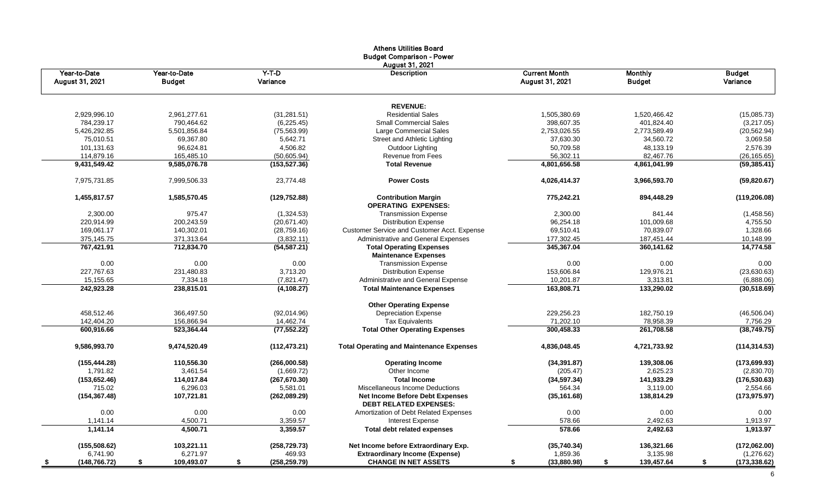|                                       |                               |                     | <b>Athens Utilities Board</b><br><b>Budget Comparison - Power</b><br><b>August 31, 2021</b> |                                         |                                 |                           |
|---------------------------------------|-------------------------------|---------------------|---------------------------------------------------------------------------------------------|-----------------------------------------|---------------------------------|---------------------------|
| Year-to-Date<br>August 31, 2021       | Year-to-Date<br><b>Budget</b> | $Y-T-D$<br>Variance | <b>Description</b>                                                                          | <b>Current Month</b><br>August 31, 2021 | <b>Monthly</b><br><b>Budget</b> | <b>Budget</b><br>Variance |
|                                       |                               |                     | <b>REVENUE:</b>                                                                             |                                         |                                 |                           |
| 2,929,996.10                          | 2,961,277.61                  | (31, 281.51)        | <b>Residential Sales</b>                                                                    | 1,505,380.69                            | 1,520,466.42                    | (15,085.73)               |
| 784,239.17                            | 790,464.62                    | (6, 225.45)         | <b>Small Commercial Sales</b>                                                               | 398,607.35                              | 401,824.40                      | (3,217.05)                |
| 5,426,292.85                          | 5,501,856.84                  | (75, 563.99)        | Large Commercial Sales                                                                      | 2,753,026.55                            | 2,773,589.49                    | (20, 562.94)              |
| 75,010.51                             | 69,367.80                     | 5,642.71            | Street and Athletic Lighting                                                                | 37,630.30                               | 34,560.72                       | 3,069.58                  |
| 101,131.63                            | 96,624.81                     | 4,506.82            | Outdoor Lighting                                                                            | 50,709.58                               | 48,133.19                       | 2,576.39                  |
| 114,879.16                            | 165,485.10                    | (50,605.94)         | <b>Revenue from Fees</b>                                                                    | 56,302.11                               | 82,467.76                       | (26, 165.65)              |
| 9,431,549.42                          | 9,585,076.78                  | (153, 527.36)       | <b>Total Revenue</b>                                                                        | 4,801,656.58                            | 4,861,041.99                    | (59, 385.41)              |
| 7,975,731.85                          | 7,999,506.33                  | 23,774.48           | <b>Power Costs</b>                                                                          | 4,026,414.37                            | 3,966,593.70                    | (59, 820.67)              |
| 1,455,817.57                          | 1,585,570.45                  | (129, 752.88)       | <b>Contribution Margin</b><br><b>OPERATING EXPENSES:</b>                                    | 775,242.21                              | 894,448.29                      | (119, 206.08)             |
| 2,300.00                              | 975.47                        | (1,324.53)          | <b>Transmission Expense</b>                                                                 | 2,300.00                                | 841.44                          | (1,458.56)                |
| 220,914.99                            | 200,243.59                    | (20,671.40)         | <b>Distribution Expense</b>                                                                 | 96,254.18                               | 101,009.68                      | 4,755.50                  |
| 169,061.17                            | 140,302.01                    | (28, 759.16)        | Customer Service and Customer Acct. Expense                                                 | 69,510.41                               | 70,839.07                       | 1,328.66                  |
| 375,145.75                            | 371,313.64                    | (3,832.11)          | Administrative and General Expenses                                                         | 177,302.45                              | 187,451.44                      | 10,148.99                 |
| 767,421.91                            | 712,834.70                    | (54, 587.21)        | <b>Total Operating Expenses</b><br><b>Maintenance Expenses</b>                              | 345,367.04                              | 360,141.62                      | 14,774.58                 |
| 0.00                                  | 0.00                          | 0.00                | <b>Transmission Expense</b>                                                                 | 0.00                                    | 0.00                            | 0.00                      |
| 227,767.63                            | 231,480.83                    | 3,713.20            | <b>Distribution Expense</b>                                                                 | 153,606.84                              | 129,976.21                      | (23, 630.63)              |
| 15,155.65                             | 7,334.18                      | (7,821.47)          | Administrative and General Expense                                                          | 10,201.87                               | 3,313.81                        | (6,888.06)                |
| 242,923.28                            | 238,815.01                    | (4, 108.27)         | <b>Total Maintenance Expenses</b>                                                           | 163,808.71                              | 133,290.02                      | (30,518.69)               |
|                                       |                               |                     | <b>Other Operating Expense</b>                                                              |                                         |                                 |                           |
| 458,512.46                            | 366,497.50                    | (92,014.96)         | <b>Depreciation Expense</b>                                                                 | 229,256.23                              | 182,750.19                      | (46, 506.04)              |
| 142,404.20                            | 156,866.94                    | 14,462.74           | <b>Tax Equivalents</b>                                                                      | 71,202.10                               | 78,958.39                       | 7,756.29                  |
| 600,916.66                            | 523,364.44                    | (77, 552.22)        | <b>Total Other Operating Expenses</b>                                                       | 300,458.33                              | 261,708.58                      | (38, 749.75)              |
| 9,586,993.70                          | 9,474,520.49                  | (112, 473.21)       | <b>Total Operating and Maintenance Expenses</b>                                             | 4,836,048.45                            | 4,721,733.92                    | (114, 314.53)             |
| (155, 444.28)                         | 110,556.30                    | (266,000.58)        | <b>Operating Income</b>                                                                     | (34, 391.87)                            | 139,308.06                      | (173, 699.93)             |
| 1,791.82                              | 3,461.54                      | (1,669.72)          | Other Income                                                                                | (205.47)                                | 2,625.23                        | (2,830.70)                |
| (153, 652.46)                         | 114,017.84                    | (267, 670.30)       | <b>Total Income</b>                                                                         | (34, 597.34)                            | 141,933.29                      | (176, 530.63)             |
| 715.02                                | 6,296.03                      | 5,581.01            | Miscellaneous Income Deductions                                                             | 564.34                                  | 3,119.00                        | 2,554.66                  |
| (154, 367.48)                         | 107,721.81                    | (262,089.29)        | <b>Net Income Before Debt Expenses</b><br><b>DEBT RELATED EXPENSES:</b>                     | 138,814.29<br>(35, 161.68)              |                                 | (173, 975.97)             |
| 0.00                                  | 0.00                          | 0.00                | Amortization of Debt Related Expenses                                                       | 0.00                                    | 0.00                            | 0.00                      |
| 1,141.14                              | 4,500.71                      | 3,359.57            | Interest Expense                                                                            | 578.66                                  | 2,492.63                        | 1,913.97                  |
| 1,141.14                              | 4,500.71                      | 3,359.57            | <b>Total debt related expenses</b>                                                          | 578.66                                  | 2,492.63                        | 1,913.97                  |
| (155, 508.62)                         | 103,221.11                    | (258, 729.73)       | Net Income before Extraordinary Exp.                                                        | (35,740.34)                             | 136,321.66                      | (172,062.00)              |
| 6,741.90                              | 6,271.97                      | 469.93              | <b>Extraordinary Income (Expense)</b>                                                       | 1,859.36                                | 3,135.98                        | (1,276.62)                |
| (148, 766.72)<br>$\overline{\bullet}$ | \$<br>109,493.07              | \$<br>(258, 259.79) | <b>CHANGE IN NET ASSETS</b>                                                                 | (33,880.98)<br>\$                       | \$<br>139,457.64                | \$<br>(173,338.62)        |

6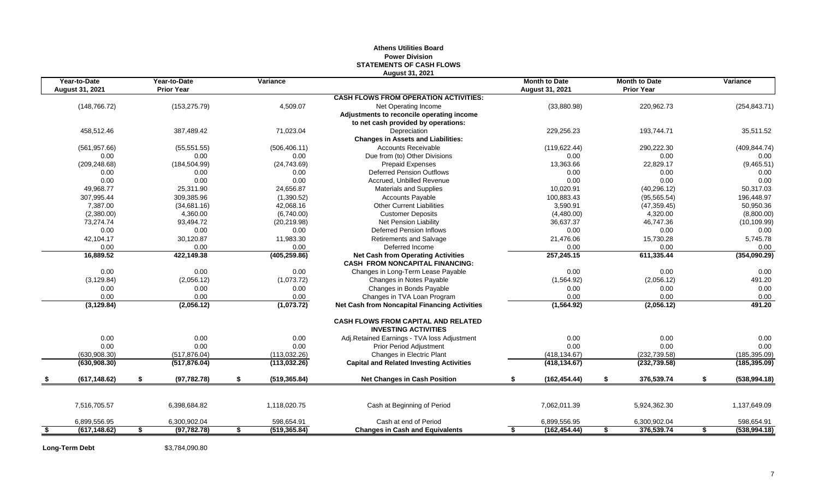# **STATEMENTS OF CASH FLOWS August 31, 2021 Year-to-Date Year-to-Date Variance Month to Date Month to Date Variance August 31, 2021 Prior Year August 31, 2021 Prior Year CASH FLOWS FROM OPERATION ACTIVITIES:** (148,766.72) (153,275.79) 4,509.07 Net Operating Income (33,880.98) 220,962.73 (254,843.71) **Adjustments to reconcile operating income to net cash provided by operations:** 458,512.46 387,489.42 71,023.04 Depreciation 229,256.23 193,744.71 35,511.52 **Changes in Assets and Liabilities:** (561,957.66) (55,551.55) (506,406.11) Accounts Receivable (119,622.44) 290,222.30 (409,844.74) 0.00 0.00 0.00 Due from (to) Other Divisions 0.00 0.00 0.00 (209,248.68) (184,504.99) (24,743.69) Prepaid Expenses 13,363.66 22,829.17 (9,465.51) 0.00 0.00 0.00 Deferred Pension Outflows 0.00 0.00 0.00 0.00 0.00 0.00 Accrued, Unbilled Revenue 0.00 0.00 0.00 49,968.77 25,311.90 24,656.87 Materials and Supplies 10,020.91 (40,296.12) 50,317.03 307,995.44 309,385.96 (1,390.52) Cccounts Payable 100,883.43 (95,565.54) 196,448.97 7,387.00 (34,681.16) 42,068.16 Other Current Liabilities 3,590.91 (47,359.45) 50,950.36 (2,380.00) 4,360.00 (6,740.00) Customer Deposits (4,480.00) 4,320.00 (8,800.00) 73,274.74 93,494.72 (20,219.98) 36,637.37 46,747.36 (10,109.99) 0.00 0.00 0.00 Deferred Pension Inflows 0.00 0.00 0.00 42,104.17 30,120.87 11,983.30 Retirements and Salvage 21,476.06 15,730.28 5,745.78 0.00 0.00 0.00 Deferred Income 0.00 0.00 0.00 **16,889.52 422,149.38 (405,259.86) Net Cash from Operating Activities 257,245.15 611,335.44 (354,090.29) CASH FROM NONCAPITAL FINANCING:** 0.00 0.00 0.00 Changes in Long-Term Lease Payable 0.00 0.00 0.00 Changes in Notes Payable 0.00 0.00 0.00 Changes in Bonds Payable 0.00 0.00 0.00 0.00 0.00 0.00 Changes in TVA Loan Program 0.00 0.00 0.00 **(3,129.84) (2,056.12) (1,073.72) Net Cash from Noncapital Financing Activities (1,564.92) (2,056.12) 491.20 CASH FLOWS FROM CAPITAL AND RELATED INVESTING ACTIVITIES** 0.00 0.00 0.00 0.00 0.00 Adj.Retained Earnings - TVA loss Adjustment 0.00 0.00 0.00 0.00 0.00 0.00 0.00 0.00 0.00 0.00 Prior Period Adjustment 0.00 0.00 0.00 (630,908.30) (517,876.04) (113,032.26) Changes in Electric Plant (418,134.67) (232,739.58) (185,395.09) **(630,908.30) (517,876.04) (113,032.26) Capital and Related Investing Activities (418,134.67) (232,739.58) (185,395.09) \$ (617,148.62) \$ (97,782.78) \$ (519,365.84) Net Changes in Cash Position \$ (162,454.44) \$ 376,539.74 \$ (538,994.18)** 7,516,705.57 6,398,684.82 1,118,020.75 Cash at Beginning of Period 7,062,011.39 5,924,362.30 1,137,649.09 6,899,556.95 6,300,902.04 598,654.91 Cash at end of Period 6,899,556.95 6,300,902.04 598,654.91 **\$ (617,148.62) \$ (97,782.78) \$ (519,365.84) Changes in Cash and Equivalents \$ (162,454.44) \$ 376,539.74 \$ (538,994.18)**

# **Athens Utilities Board Power Division**

**Long-Term Debt** \$3,784,090.80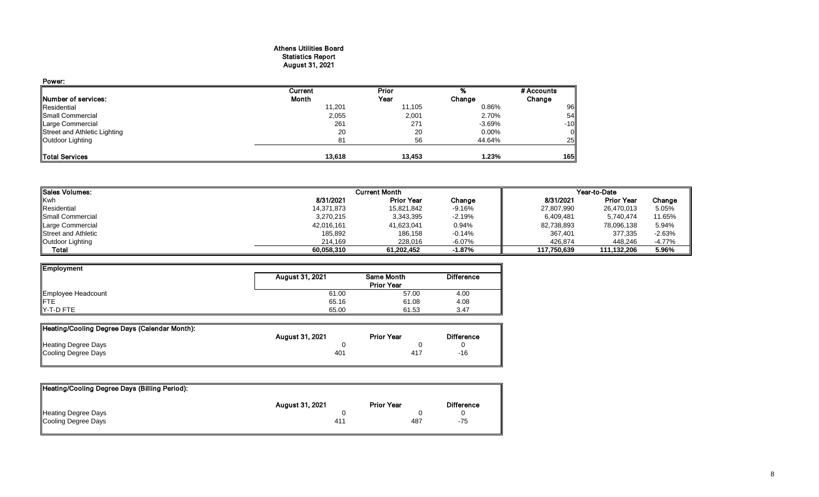#### Athens Utilities Board Statistics Report August 31, 2021

| Power:                       |         |        |          |                |
|------------------------------|---------|--------|----------|----------------|
|                              | Current | Prior  |          | # Accounts     |
| <b>INumber of services:</b>  | Month   | Year   | Change   | Change         |
| Residential                  | 11,201  | 11,105 | 0.86%    | 96             |
| Small Commercial             | 2,055   | 2,001  | 2.70%    | 54             |
| <b>Large Commercial</b>      | 261     | 271    | $-3.69%$ | $-10$          |
| Street and Athletic Lighting | 20      | 20     | $0.00\%$ | $\overline{0}$ |
| Outdoor Lighting             | 81      | 56     | 44.64%   | 25             |
| <b>Total Services</b>        | 13.618  | 13.453 | 1.23%    | 165            |

| <b>I</b> ISales Volumes:   | <b>Current Month</b> | Year-to-Date      |           |             |                   |           |
|----------------------------|----------------------|-------------------|-----------|-------------|-------------------|-----------|
| <b>Kwh</b>                 | 8/31/2021            | <b>Prior Year</b> | Change    | 8/31/2021   | <b>Prior Year</b> | Change    |
| Residential                | 14,371,873           | 15,821,842        | $-9.16%$  | 27,807,990  | 26,470,013        | 5.05%     |
| <b>I</b> Small Commercial  | 3,270,215            | 3,343,395         | -2.19%    | 6,409,481   | 5.740.474         | 11.65%    |
| Large Commercial           | 42,016,161           | 41,623,041        | 0.94%     | 82,738,893  | 78,096,138        | 5.94%     |
| <b>Street and Athletic</b> | 185,892              | 186,158           | $-0.14%$  | 367,401     | 377,335           | $-2.63%$  |
| Outdoor Lighting           | 214.169              | 228,016           | -6.07%    | 426,874     | 448.246           | $-4.77\%$ |
| Total                      | 60.058.310           | 61.202.452        | $-1.87\%$ | 117.750.639 | 111.132.206       | 5.96%     |

| Employment         |                 |                                 |                   |
|--------------------|-----------------|---------------------------------|-------------------|
|                    | August 31, 2021 | Same Month<br><b>Prior Year</b> | <b>Difference</b> |
| Employee Headcount | 61.00           | 57.00                           | 4.00              |
| <b>IFTE</b>        | 65.16           | 61.08                           | 4.08              |
| Y-T-D FTE          | 65.00           | 61.53                           | 3.47              |

| Heating/Cooling Degree Days (Calendar Month): |                        |                   |                   |
|-----------------------------------------------|------------------------|-------------------|-------------------|
|                                               | <b>August 31, 2021</b> | <b>Prior Year</b> | <b>Difference</b> |
| <b>Heating Degree Days</b>                    |                        |                   |                   |
| Cooling Degree Days                           | 401                    | 417               | -16               |
|                                               |                        |                   |                   |

| Heating/Cooling Degree Days (Billing Period): |                        |                   |                   |
|-----------------------------------------------|------------------------|-------------------|-------------------|
|                                               | <b>August 31, 2021</b> | <b>Prior Year</b> | <b>Difference</b> |
| Heating Degree Days                           |                        |                   |                   |
| Cooling Degree Days                           | 41 <sup>4</sup>        | 487               | -75               |
|                                               |                        |                   |                   |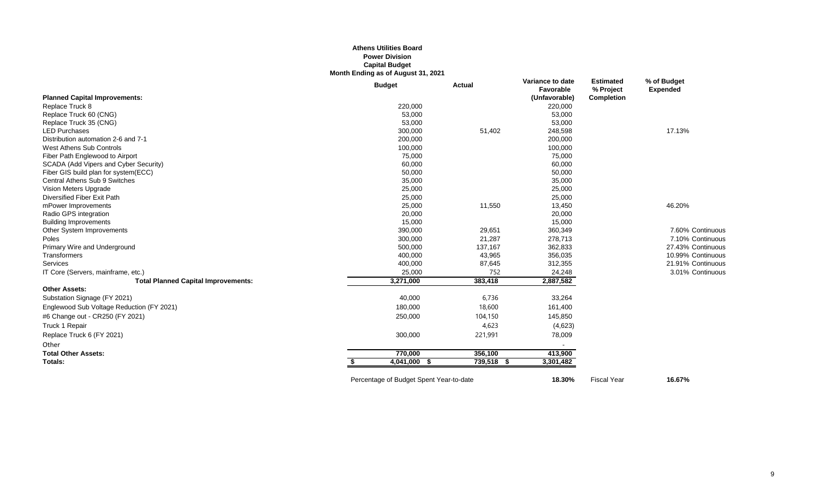#### **Athens Utilities Board Power Division Capital Budget Month Ending as of August 31, 2021**

|                                            | <b>Budget</b> | <b>Actual</b> | Variance to date<br>Favorable | <b>Estimated</b><br>% Project | % of Budget<br><b>Expended</b> |
|--------------------------------------------|---------------|---------------|-------------------------------|-------------------------------|--------------------------------|
| <b>Planned Capital Improvements:</b>       |               |               | (Unfavorable)                 | Completion                    |                                |
| Replace Truck 8                            | 220,000       |               | 220,000                       |                               |                                |
| Replace Truck 60 (CNG)                     | 53,000        |               | 53,000                        |                               |                                |
| Replace Truck 35 (CNG)                     | 53,000        |               | 53,000                        |                               |                                |
| <b>LED Purchases</b>                       | 300,000       | 51,402        | 248,598                       |                               | 17.13%                         |
| Distribution automation 2-6 and 7-1        | 200,000       |               | 200,000                       |                               |                                |
| West Athens Sub Controls                   | 100,000       |               | 100,000                       |                               |                                |
| Fiber Path Englewood to Airport            | 75,000        |               | 75,000                        |                               |                                |
| SCADA (Add Vipers and Cyber Security)      | 60,000        |               | 60,000                        |                               |                                |
| Fiber GIS build plan for system(ECC)       | 50,000        |               | 50,000                        |                               |                                |
| Central Athens Sub 9 Switches              | 35,000        |               | 35,000                        |                               |                                |
| Vision Meters Upgrade                      | 25,000        |               | 25,000                        |                               |                                |
| Diversified Fiber Exit Path                | 25,000        |               | 25,000                        |                               |                                |
| mPower Improvements                        | 25,000        | 11,550        | 13,450                        |                               | 46.20%                         |
| Radio GPS integration                      | 20,000        |               | 20,000                        |                               |                                |
| <b>Building Improvements</b>               | 15,000        |               | 15,000                        |                               |                                |
| Other System Improvements                  | 390,000       | 29,651        | 360,349                       |                               | 7.60% Continuous               |
| Poles                                      | 300,000       | 21,287        | 278,713                       |                               | 7.10% Continuous               |
| Primary Wire and Underground               | 500,000       | 137,167       | 362,833                       |                               | 27.43% Continuous              |
| Transformers                               | 400,000       | 43,965        | 356,035                       |                               | 10.99% Continuous              |
| Services                                   | 400,000       | 87,645        | 312,355                       |                               | 21.91% Continuous              |
| IT Core (Servers, mainframe, etc.)         | 25,000        | 752           | 24,248                        |                               | 3.01% Continuous               |
| <b>Total Planned Capital Improvements:</b> | 3,271,000     | 383,418       | 2,887,582                     |                               |                                |
| <b>Other Assets:</b>                       |               |               |                               |                               |                                |
| Substation Signage (FY 2021)               | 40,000        | 6,736         | 33,264                        |                               |                                |
| Englewood Sub Voltage Reduction (FY 2021)  | 180,000       | 18,600        | 161,400                       |                               |                                |
| #6 Change out - CR250 (FY 2021)            | 250,000       | 104,150       | 145,850                       |                               |                                |
| Truck 1 Repair                             |               | 4,623         | (4,623)                       |                               |                                |
| Replace Truck 6 (FY 2021)                  | 300,000       | 221,991       | 78,009                        |                               |                                |
| Other                                      |               |               |                               |                               |                                |
| <b>Total Other Assets:</b>                 | 770,000       | 356,100       | 413,900                       |                               |                                |
| Totals:                                    | 4,041,000 \$  | 739,518 \$    | 3,301,482                     |                               |                                |
|                                            |               |               |                               |                               |                                |

Percentage of Budget Spent Year-to-date **18.30%** Fiscal Year **16.67%**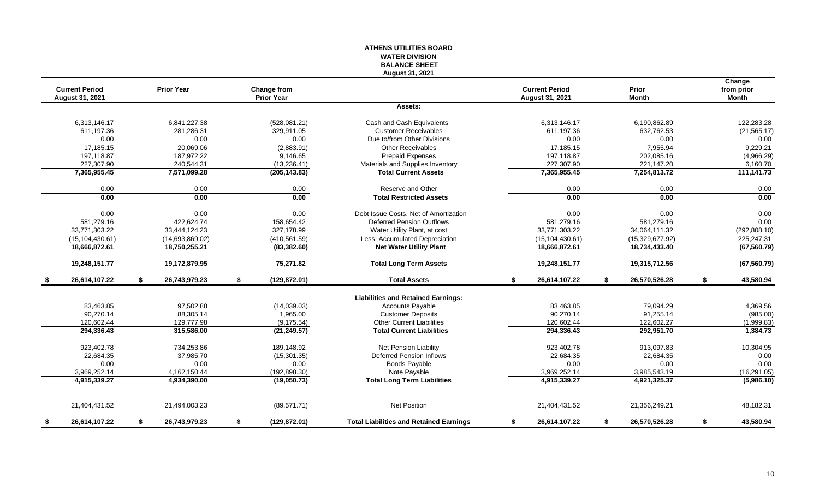#### **ATHENS UTILITIES BOARD WATER DIVISION BALANCE SHEET August 31, 2021**

|     | <b>Current Period</b>  |    | <b>Prior Year</b> | Change from         |                                                |    | <b>Current Period</b> |     | Prior           |    | Change<br>from prior |
|-----|------------------------|----|-------------------|---------------------|------------------------------------------------|----|-----------------------|-----|-----------------|----|----------------------|
|     | <b>August 31, 2021</b> |    |                   | <b>Prior Year</b>   |                                                |    | August 31, 2021       |     | <b>Month</b>    |    | <b>Month</b>         |
|     |                        |    |                   |                     | Assets:                                        |    |                       |     |                 |    |                      |
|     | 6.313.146.17           |    | 6,841,227.38      | (528,081.21)        | Cash and Cash Equivalents                      |    | 6,313,146.17          |     | 6,190,862.89    |    | 122.283.28           |
|     | 611.197.36             |    | 281,286.31        | 329.911.05          | <b>Customer Receivables</b>                    |    | 611,197.36            |     | 632,762.53      |    | (21, 565.17)         |
|     | 0.00                   |    | 0.00              | 0.00                | Due to/from Other Divisions                    |    | 0.00                  |     | 0.00            |    | 0.00                 |
|     | 17,185.15              |    | 20.069.06         | (2,883.91)          | <b>Other Receivables</b>                       |    | 17,185.15             |     | 7,955.94        |    | 9,229.21             |
|     | 197,118.87             |    | 187,972.22        | 9,146.65            | <b>Prepaid Expenses</b>                        |    | 197,118.87            |     | 202,085.16      |    | (4,966.29)           |
|     | 227.307.90             |    | 240,544.31        | (13, 236.41)        | Materials and Supplies Inventory               |    | 227,307.90            |     | 221,147.20      |    | 6,160.70             |
|     | 7,365,955.45           |    | 7,571,099.28      | (205, 143.83)       | <b>Total Current Assets</b>                    |    | 7,365,955.45          |     | 7,254,813.72    |    | 111,141.73           |
|     | 0.00                   |    | 0.00              | 0.00                | Reserve and Other                              |    | 0.00                  |     | 0.00            |    | 0.00                 |
|     | 0.00                   |    | 0.00              | 0.00                | <b>Total Restricted Assets</b>                 |    | 0.00                  |     | 0.00            |    | 0.00                 |
|     | 0.00                   |    | 0.00              | 0.00                | Debt Issue Costs. Net of Amortization          |    | 0.00                  |     | 0.00            |    | 0.00                 |
|     | 581,279.16             |    | 422,624.74        | 158,654.42          | <b>Deferred Pension Outflows</b>               |    | 581,279.16            |     | 581,279.16      |    | 0.00                 |
|     | 33,771,303.22          |    | 33,444,124.23     | 327,178.99          | Water Utility Plant, at cost                   |    | 33,771,303.22         |     | 34,064,111.32   |    | (292, 808.10)        |
|     | (15, 104, 430.61)      |    | (14,693,869.02)   | (410, 561.59)       | Less: Accumulated Depreciation                 |    | (15, 104, 430.61)     |     | (15,329,677.92) |    | 225,247.31           |
|     | 18,666,872.61          |    | 18,750,255.21     | (83, 382.60)        | <b>Net Water Utility Plant</b>                 |    | 18,666,872.61         |     | 18,734,433.40   |    | (67, 560.79)         |
|     | 19,248,151.77          |    | 19,172,879.95     | 75,271.82           | <b>Total Long Term Assets</b>                  |    | 19,248,151.77         |     | 19,315,712.56   |    | (67, 560.79)         |
|     | 26,614,107.22          | \$ | 26,743,979.23     | \$<br>(129, 872.01) | <b>Total Assets</b>                            | S. | 26,614,107.22         | \$  | 26,570,526.28   | \$ | 43,580.94            |
|     |                        |    |                   |                     | <b>Liabilities and Retained Earnings:</b>      |    |                       |     |                 |    |                      |
|     | 83,463.85              |    | 97,502.88         | (14,039.03)         | Accounts Payable                               |    | 83,463.85             |     | 79,094.29       |    | 4,369.56             |
|     | 90.270.14              |    | 88,305.14         | 1,965.00            | <b>Customer Deposits</b>                       |    | 90,270.14             |     | 91,255.14       |    | (985.00)             |
|     | 120,602.44             |    | 129,777.98        | (9, 175.54)         | <b>Other Current Liabilities</b>               |    | 120,602.44            |     | 122,602.27      |    | (1,999.83)           |
|     | 294,336.43             |    | 315,586.00        | (21, 249.57)        | <b>Total Current Liabilities</b>               |    | 294,336.43            |     | 292,951.70      |    | 1,384.73             |
|     | 923,402.78             |    | 734,253.86        | 189,148.92          | Net Pension Liability                          |    | 923,402.78            |     | 913,097.83      |    | 10,304.95            |
|     | 22,684.35              |    | 37,985.70         | (15, 301.35)        | <b>Deferred Pension Inflows</b>                |    | 22,684.35             |     | 22,684.35       |    | 0.00                 |
|     | 0.00                   |    | 0.00              | 0.00                | <b>Bonds Payable</b>                           |    | 0.00                  |     | 0.00            |    | 0.00                 |
|     | 3,969,252.14           |    | 4,162,150.44      | (192, 898.30)       | Note Payable                                   |    | 3,969,252.14          |     | 3,985,543.19    |    | (16, 291.05)         |
|     | 4,915,339.27           |    | 4,934,390.00      | (19,050.73)         | <b>Total Long Term Liabilities</b>             |    | 4,915,339.27          |     | 4,921,325.37    |    | (5,986.10)           |
|     | 21,404,431.52          |    | 21,494,003.23     | (89, 571.71)        | <b>Net Position</b>                            |    | 21,404,431.52         |     | 21,356,249.21   |    | 48,182.31            |
|     |                        |    |                   |                     |                                                |    |                       | \$. |                 |    |                      |
| - 5 | 26,614,107.22          | S  | 26,743,979.23     | \$<br>(129, 872.01) | <b>Total Liabilities and Retained Earnings</b> | S  | 26,614,107.22         |     | 26,570,526.28   | S. | 43,580.94            |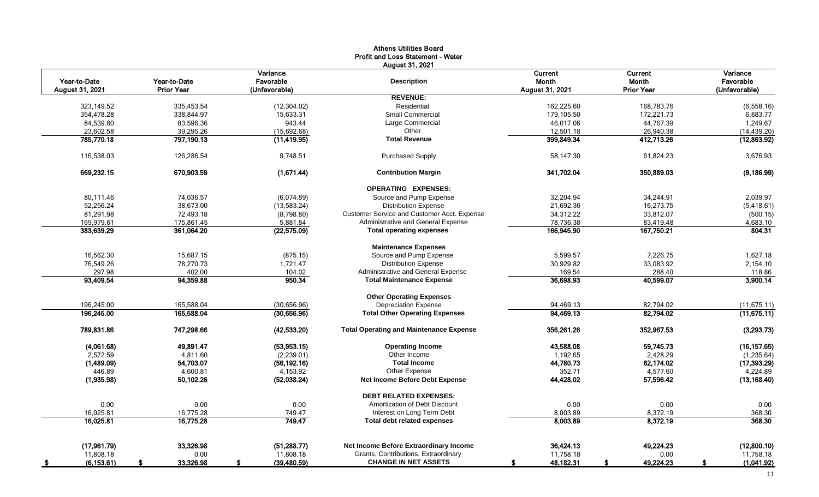|                 |                   |                       | <b>Athens Utilities Board</b><br>Profit and Loss Statement - Water |                         |                         |                       |
|-----------------|-------------------|-----------------------|--------------------------------------------------------------------|-------------------------|-------------------------|-----------------------|
| Year-to-Date    | Year-to-Date      | Variance<br>Favorable | August 31, 2021<br><b>Description</b>                              | Current<br><b>Month</b> | Current<br><b>Month</b> | Variance<br>Favorable |
| August 31, 2021 | <b>Prior Year</b> | (Unfavorable)         |                                                                    | August 31, 2021         | <b>Prior Year</b>       | (Unfavorable)         |
|                 |                   |                       | <b>REVENUE:</b>                                                    |                         |                         |                       |
| 323,149.52      | 335,453.54        | (12, 304.02)          | Residential                                                        | 162,225.60              | 168,783.76              | (6,558.16)            |
| 354,478.28      | 338,844.97        | 15,633.31             | <b>Small Commercial</b>                                            | 179,105.50              | 172,221.73              | 6,883.77              |
| 84,539.80       | 83,596.36         | 943.44                | Large Commercial                                                   | 46,017.06               | 44,767.39               | 1,249.67              |
| 23.602.58       | 39,295.26         | (15,692.68)           | Other                                                              | 12,501.18               | 26,940.38               | (14, 439.20)          |
| 785,770.18      | 797,190.13        | (11, 419.95)          | <b>Total Revenue</b>                                               | 399,849.34              | 412,713.26              | (12,863.92)           |
| 116,538.03      | 126,286.54        | 9,748.51              | <b>Purchased Supply</b>                                            | 58,147.30               | 61,824.23               | 3,676.93              |
| 669,232.15      | 670,903.59        | (1,671.44)            | <b>Contribution Margin</b>                                         | 341,702.04              | 350,889.03              | (9, 186.99)           |
|                 |                   |                       | <b>OPERATING EXPENSES:</b>                                         |                         |                         |                       |
| 80.111.46       | 74.036.57         | (6,074.89)            | Source and Pump Expense                                            | 32,204.94               | 34,244.91               | 2,039.97              |
| 52,256.24       | 38,673.00         | (13,583.24)           | <b>Distribution Expense</b>                                        | 21,692.36               | 16,273.75               | (5,418.61)            |
| 81,291.98       | 72,493.18         | (8,798.80)            | Customer Service and Customer Acct. Expense                        | 34,312.22               | 33,812.07               | (500.15)              |
| 169,979.61      | 175,861.45        | 5,881.84              | Administrative and General Expense                                 | 78,736.38               | 83,419.48               | 4,683.10              |
| 383,639.29      | 361,064.20        | (22, 575.09)          | <b>Total operating expenses</b>                                    | 166,945.90              | 167.750.21              | 804.31                |
|                 |                   |                       | <b>Maintenance Expenses</b>                                        |                         |                         |                       |
| 16.562.30       | 15.687.15         | (875.15)              | Source and Pump Expense                                            | 5.599.57                | 7.226.75                | 1,627.18              |
| 76.549.26       | 78.270.73         | 1.721.47              | <b>Distribution Expense</b>                                        | 30,929.82               | 33.083.92               | 2,154.10              |
| 297.98          | 402.00            | 104.02                | Administrative and General Expense                                 | 169.54                  | 288.40                  | 118.86                |
| 93,409.54       | 94,359.88         | 950.34                | <b>Total Maintenance Expense</b>                                   | 36,698.93               | 40,599.07               | 3,900.14              |
|                 |                   |                       | <b>Other Operating Expenses</b>                                    |                         |                         |                       |
| 196,245.00      | 165,588.04        | (30,656.96)           | <b>Depreciation Expense</b>                                        | 94,469.13               | 82,794.02               | (11, 675.11)          |
| 196,245.00      | 165,588.04        | (30,656.96)           | <b>Total Other Operating Expenses</b>                              | 94,469.13               | 82,794.02               | (11,675.11)           |
| 789,831.86      | 747,298.66        | (42, 533.20)          | <b>Total Operating and Maintenance Expense</b>                     | 356,261.26              | 352,967.53              | (3,293.73)            |
| (4,061.68)      | 49,891.47         | (53,953.15)           | <b>Operating Income</b>                                            | 43,588.08               | 59,745.73               | (16, 157.65)          |
| 2,572.59        | 4,811.60          | (2,239.01)            | Other Income                                                       | 1,192.65                | 2,428.29                | (1, 235.64)           |
| (1,489.09)      | 54,703.07         | (56, 192.16)          | <b>Total Income</b>                                                | 44,780.73               | 62,174.02               | (17, 393.29)          |
| 446.89          | 4,600.81          | 4,153.92              | Other Expense                                                      | 352.71                  | 4,577.60                | 4,224.89              |
| (1,935.98)      | 50,102.26         | (52,038.24)           | Net Income Before Debt Expense                                     | 44,428.02               | 57,596.42               | (13, 168.40)          |
|                 |                   |                       | <b>DEBT RELATED EXPENSES:</b>                                      |                         |                         |                       |
| 0.00            | 0.00              | 0.00                  | Amortization of Debt Discount                                      | 0.00                    | 0.00                    | 0.00                  |
| 16.025.81       | 16,775.28         | 749.47                | Interest on Long Term Debt                                         | 8,003.89                | 8,372.19                | 368.30                |
| 16,025.81       | 16,775.28         | 749.47                | <b>Total debt related expenses</b>                                 | 8,003.89                | 8,372.19                | 368.30                |
|                 |                   |                       |                                                                    |                         |                         |                       |
| (17.961.79)     | 33.326.98         | (51, 288.77)          | Net Income Before Extraordinary Income                             | 36.424.13               | 49.224.23               | (12,800.10)           |
| 11,808.18       | 0.00              | 11,808.18             | Grants, Contributions, Extraordinary                               | 11,758.18               | 0.00                    | 11,758.18             |
| (6, 153.61)     | 33,326.98         | (39, 480.59)<br>S.    | <b>CHANGE IN NET ASSETS</b>                                        | 48,182.31<br>S.         | 49,224.23<br>£.         | (1,041.92)<br>s.      |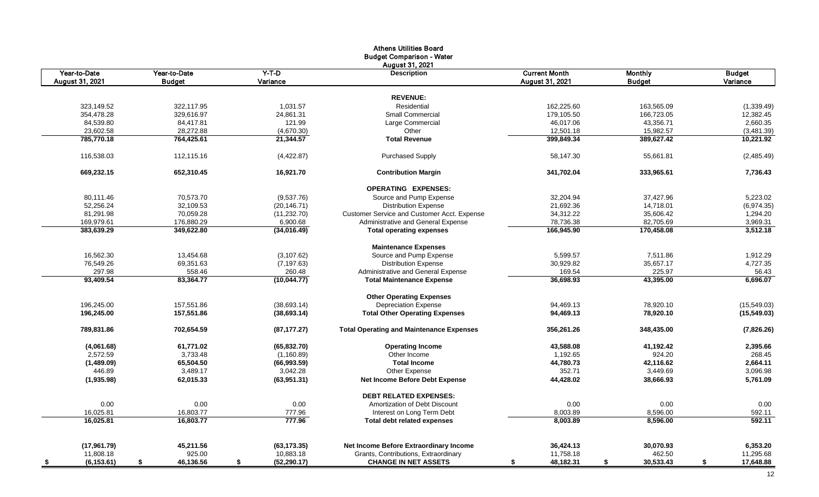|                   |                 |                    | <b>Athens Utilities Board</b>                                        |                        |                 |                 |
|-------------------|-----------------|--------------------|----------------------------------------------------------------------|------------------------|-----------------|-----------------|
|                   |                 |                    | <b>Budget Comparison - Water</b>                                     |                        |                 |                 |
|                   |                 |                    | <b>August 31, 2021</b>                                               |                        |                 |                 |
| Year-to-Date      | Year-to-Date    | $Y-T-D$            | <b>Description</b>                                                   | <b>Current Month</b>   | <b>Monthly</b>  | <b>Budget</b>   |
| August 31, 2021   | <b>Budget</b>   | Variance           |                                                                      | <b>August 31, 2021</b> | <b>Budget</b>   | Variance        |
|                   |                 |                    |                                                                      |                        |                 |                 |
|                   |                 |                    | <b>REVENUE:</b>                                                      |                        |                 |                 |
| 323,149.52        | 322.117.95      | 1,031.57           | Residential                                                          | 162,225.60             | 163.565.09      | (1,339.49)      |
| 354,478.28        | 329,616.97      | 24,861.31          | <b>Small Commercial</b>                                              | 179,105.50             | 166,723.05      | 12,382.45       |
| 84,539.80         | 84,417.81       | 121.99             | Large Commercial                                                     | 46,017.06              | 43,356.71       | 2,660.35        |
| 23,602.58         | 28,272.88       | (4,670.30)         | Other                                                                | 12,501.18              | 15,982.57       | (3,481.39)      |
| 785,770.18        | 764,425.61      | 21,344.57          | <b>Total Revenue</b>                                                 | 399,849.34             | 389,627.42      | 10,221.92       |
| 116,538.03        | 112,115.16      | (4,422.87)         | <b>Purchased Supply</b>                                              | 58,147.30              | 55,661.81       | (2,485.49)      |
| 669,232.15        | 652,310.45      | 16,921.70          | <b>Contribution Margin</b>                                           | 341,702.04             | 333,965.61      | 7,736.43        |
|                   |                 |                    | <b>OPERATING EXPENSES:</b>                                           |                        |                 |                 |
| 80,111.46         | 70,573.70       | (9,537.76)         | Source and Pump Expense                                              | 32,204.94              | 37,427.96       | 5,223.02        |
| 52,256.24         | 32,109.53       | (20, 146.71)       | <b>Distribution Expense</b>                                          | 21,692.36              | 14,718.01       | (6,974.35)      |
| 81,291.98         | 70,059.28       | (11, 232.70)       | Customer Service and Customer Acct. Expense                          | 34,312.22              | 35,606.42       | 1,294.20        |
| 169,979.61        | 176.880.29      | 6,900.68           | Administrative and General Expense                                   | 78,736.38              | 82,705.69       | 3,969.31        |
| 383,639.29        | 349,622.80      | (34,016.49)        | <b>Total operating expenses</b>                                      | 166,945.90             | 170,458.08      | 3,512.18        |
|                   |                 |                    | <b>Maintenance Expenses</b>                                          |                        |                 |                 |
| 16,562.30         | 13,454.68       | (3, 107.62)        | Source and Pump Expense                                              | 5,599.57               | 7,511.86        | 1,912.29        |
| 76,549.26         | 69,351.63       | (7, 197.63)        | <b>Distribution Expense</b>                                          | 30,929.82              | 35,657.17       | 4,727.35        |
| 297.98            | 558.46          | 260.48             | Administrative and General Expense                                   | 169.54                 | 225.97          | 56.43           |
| 93.409.54         | 83.364.77       | (10,044.77)        | <b>Total Maintenance Expense</b>                                     | 36.698.93              | 43.395.00       | 6,696.07        |
|                   |                 |                    | <b>Other Operating Expenses</b>                                      |                        |                 |                 |
|                   |                 |                    |                                                                      |                        |                 |                 |
| 196,245.00        | 157,551.86      | (38, 693.14)       | <b>Depreciation Expense</b><br><b>Total Other Operating Expenses</b> | 94,469.13              | 78,920.10       | (15,549.03)     |
| 196,245.00        | 157,551.86      | (38, 693.14)       |                                                                      | 94,469.13              | 78,920.10       | (15, 549.03)    |
| 789,831.86        | 702,654.59      | (87, 177.27)       | <b>Total Operating and Maintenance Expenses</b>                      | 356,261.26             | 348,435.00      | (7,826.26)      |
| (4,061.68)        | 61,771.02       | (65, 832.70)       | <b>Operating Income</b>                                              | 43,588.08              | 41,192.42       | 2,395.66        |
| 2,572.59          | 3,733.48        | (1,160.89)         | Other Income                                                         | 1,192.65               | 924.20          | 268.45          |
| (1,489.09)        | 65,504.50       | (66,993.59)        | <b>Total Income</b>                                                  | 44,780.73              | 42,116.62       | 2,664.11        |
| 446.89            | 3,489.17        | 3,042.28           | Other Expense                                                        | 352.71                 | 3,449.69        | 3,096.98        |
| (1,935.98)        | 62,015.33       | (63,951.31)        | Net Income Before Debt Expense                                       | 44,428.02              | 38,666.93       | 5,761.09        |
|                   |                 |                    | <b>DEBT RELATED EXPENSES:</b>                                        |                        |                 |                 |
| 0.00              | 0.00            | 0.00               | Amortization of Debt Discount                                        | 0.00                   | 0.00            | 0.00            |
| 16,025.81         | 16,803.77       | 777.96             | Interest on Long Term Debt                                           | 8,003.89               | 8,596.00        | 592.11          |
| 16,025.81         | 16,803.77       | 777.96             | <b>Total debt related expenses</b>                                   | 8,003.89               | 8,596.00        | 592.11          |
|                   |                 |                    |                                                                      |                        |                 |                 |
| (17, 961.79)      | 45,211.56       | (63, 173.35)       | Net Income Before Extraordinary Income                               | 36,424.13              | 30,070.93       | 6,353.20        |
| 11,808.18         | 925.00          | 10,883.18          | Grants, Contributions, Extraordinary                                 | 11,758.18              | 462.50          | 11,295.68       |
| (6, 153.61)<br>\$ | 46,136.56<br>\$ | \$<br>(52, 290.17) | <b>CHANGE IN NET ASSETS</b>                                          | 48,182.31<br>\$        | 30,533.43<br>\$ | \$<br>17,648.88 |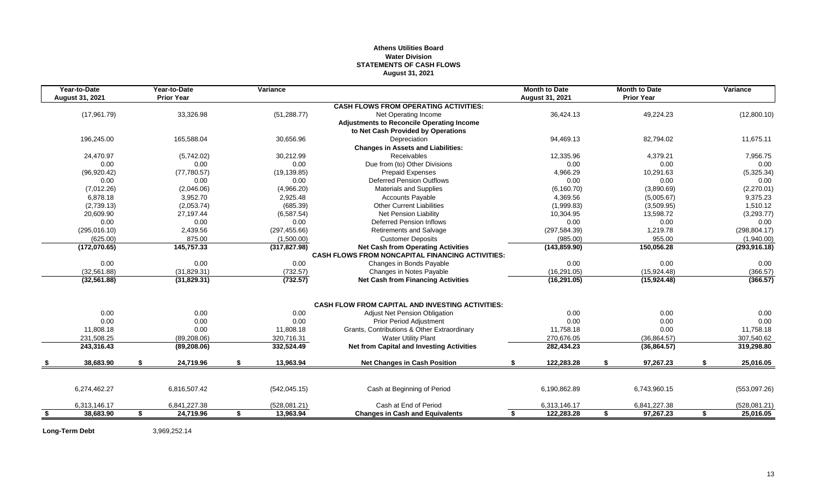# **Athens Utilities Board Water Division STATEMENTS OF CASH FLOWS August 31, 2021**

| <b>Prior Year</b><br><b>August 31, 2021</b><br><b>Prior Year</b><br>August 31, 2021<br><b>CASH FLOWS FROM OPERATING ACTIVITIES:</b><br>36,424.13<br>(17, 961.79)<br>33,326.98<br>(51, 288.77)<br>Net Operating Income<br>49,224.23<br><b>Adjustments to Reconcile Operating Income</b><br>to Net Cash Provided by Operations<br>196,245.00<br>165,588.04<br>30,656.96<br>Depreciation<br>94,469.13<br>82,794.02<br><b>Changes in Assets and Liabilities:</b><br>24,470.97<br><b>Receivables</b><br>12,335.96<br>(5,742.02)<br>30,212.99<br>4,379.21<br>Due from (to) Other Divisions<br>0.00<br>0.00<br>0.00<br>0.00<br>0.00<br>(77,780.57)<br>(19, 139.85)<br>4,966.29<br>(96, 920.42)<br><b>Prepaid Expenses</b><br>10,291.63<br>0.00<br>0.00<br>0.00<br>0.00<br>Deferred Pension Outflows<br>0.00<br>(7,012.26)<br><b>Materials and Supplies</b><br>(6, 160.70)<br>(3,890.69)<br>(2,046.06)<br>(4,966.20)<br>6,878.18<br>4,369.56<br>3,952.70<br>2,925.48<br><b>Accounts Payable</b><br>(5,005.67)<br>(2,739.13)<br>(2,053.74)<br>(685.39)<br><b>Other Current Liabilities</b><br>(1,999.83)<br>(3,509.95)<br>20,609.90<br>27.197.44<br>(6, 587.54)<br>Net Pension Liability<br>10,304.95<br>13,598.72<br>0.00<br>0.00<br>0.00<br><b>Deferred Pension Inflows</b><br>0.00<br>0.00<br>2,439.56<br>(297, 455.66)<br>(297, 584.39)<br>1,219.78<br>(295,016.10)<br><b>Retirements and Salvage</b><br>875.00<br>(985.00)<br>955.00<br>(625.00)<br>(1,500.00)<br><b>Customer Deposits</b><br>(317, 827.98)<br><b>Net Cash from Operating Activities</b><br>(172,070.65)<br>145,757.33<br>(143, 859.90)<br>150,056.28<br><b>CASH FLOWS FROM NONCAPITAL FINANCING ACTIVITIES:</b><br>0.00<br>0.00<br>0.00<br>0.00<br>Changes in Bonds Payable<br>0.00<br>(32, 561.88)<br>(31,829.31)<br>(16, 291.05)<br>(15,924.48)<br>(732.57)<br>Changes in Notes Payable<br>(732.57)<br><b>Net Cash from Financing Activities</b><br>(16, 291.05)<br>(32, 561.88)<br>(31,829.31)<br>(15, 924.48)<br><b>CASH FLOW FROM CAPITAL AND INVESTING ACTIVITIES:</b><br>0.00<br>0.00<br>0.00<br>0.00<br>0.00<br><b>Adjust Net Pension Obligation</b><br>0.00<br>0.00<br>0.00<br>0.00<br>0.00<br><b>Prior Period Adjustment</b><br>11,808.18<br>0.00<br>11,808.18<br>Grants, Contributions & Other Extraordinary<br>11,758.18<br>0.00<br>231,508.25<br>320,716.31<br>270,676.05<br>(89, 208.06)<br><b>Water Utility Plant</b><br>(36, 864.57)<br><b>Net from Capital and Investing Activities</b><br>332,524.49<br>282,434.23<br>(36,864.57)<br>243,316.43<br>(89, 208.06)<br>\$<br>97,267.23<br>38,683.90<br>\$<br>24,719.96<br>13,963.94<br><b>Net Changes in Cash Position</b><br>122,283.28<br>S.<br>\$<br>\$ | Year-to-Date | Year-to-Date | Variance |  | <b>Month to Date</b> | <b>Month to Date</b> | Variance      |
|---------------------------------------------------------------------------------------------------------------------------------------------------------------------------------------------------------------------------------------------------------------------------------------------------------------------------------------------------------------------------------------------------------------------------------------------------------------------------------------------------------------------------------------------------------------------------------------------------------------------------------------------------------------------------------------------------------------------------------------------------------------------------------------------------------------------------------------------------------------------------------------------------------------------------------------------------------------------------------------------------------------------------------------------------------------------------------------------------------------------------------------------------------------------------------------------------------------------------------------------------------------------------------------------------------------------------------------------------------------------------------------------------------------------------------------------------------------------------------------------------------------------------------------------------------------------------------------------------------------------------------------------------------------------------------------------------------------------------------------------------------------------------------------------------------------------------------------------------------------------------------------------------------------------------------------------------------------------------------------------------------------------------------------------------------------------------------------------------------------------------------------------------------------------------------------------------------------------------------------------------------------------------------------------------------------------------------------------------------------------------------------------------------------------------------------------------------------------------------------------------------------------------------------------------------------------------------------------------------------------------------------------------------------------------------------|--------------|--------------|----------|--|----------------------|----------------------|---------------|
|                                                                                                                                                                                                                                                                                                                                                                                                                                                                                                                                                                                                                                                                                                                                                                                                                                                                                                                                                                                                                                                                                                                                                                                                                                                                                                                                                                                                                                                                                                                                                                                                                                                                                                                                                                                                                                                                                                                                                                                                                                                                                                                                                                                                                                                                                                                                                                                                                                                                                                                                                                                                                                                                                       |              |              |          |  |                      |                      |               |
|                                                                                                                                                                                                                                                                                                                                                                                                                                                                                                                                                                                                                                                                                                                                                                                                                                                                                                                                                                                                                                                                                                                                                                                                                                                                                                                                                                                                                                                                                                                                                                                                                                                                                                                                                                                                                                                                                                                                                                                                                                                                                                                                                                                                                                                                                                                                                                                                                                                                                                                                                                                                                                                                                       |              |              |          |  |                      |                      |               |
|                                                                                                                                                                                                                                                                                                                                                                                                                                                                                                                                                                                                                                                                                                                                                                                                                                                                                                                                                                                                                                                                                                                                                                                                                                                                                                                                                                                                                                                                                                                                                                                                                                                                                                                                                                                                                                                                                                                                                                                                                                                                                                                                                                                                                                                                                                                                                                                                                                                                                                                                                                                                                                                                                       |              |              |          |  |                      |                      | (12,800.10)   |
|                                                                                                                                                                                                                                                                                                                                                                                                                                                                                                                                                                                                                                                                                                                                                                                                                                                                                                                                                                                                                                                                                                                                                                                                                                                                                                                                                                                                                                                                                                                                                                                                                                                                                                                                                                                                                                                                                                                                                                                                                                                                                                                                                                                                                                                                                                                                                                                                                                                                                                                                                                                                                                                                                       |              |              |          |  |                      |                      |               |
|                                                                                                                                                                                                                                                                                                                                                                                                                                                                                                                                                                                                                                                                                                                                                                                                                                                                                                                                                                                                                                                                                                                                                                                                                                                                                                                                                                                                                                                                                                                                                                                                                                                                                                                                                                                                                                                                                                                                                                                                                                                                                                                                                                                                                                                                                                                                                                                                                                                                                                                                                                                                                                                                                       |              |              |          |  |                      |                      |               |
|                                                                                                                                                                                                                                                                                                                                                                                                                                                                                                                                                                                                                                                                                                                                                                                                                                                                                                                                                                                                                                                                                                                                                                                                                                                                                                                                                                                                                                                                                                                                                                                                                                                                                                                                                                                                                                                                                                                                                                                                                                                                                                                                                                                                                                                                                                                                                                                                                                                                                                                                                                                                                                                                                       |              |              |          |  |                      |                      | 11,675.11     |
|                                                                                                                                                                                                                                                                                                                                                                                                                                                                                                                                                                                                                                                                                                                                                                                                                                                                                                                                                                                                                                                                                                                                                                                                                                                                                                                                                                                                                                                                                                                                                                                                                                                                                                                                                                                                                                                                                                                                                                                                                                                                                                                                                                                                                                                                                                                                                                                                                                                                                                                                                                                                                                                                                       |              |              |          |  |                      |                      |               |
|                                                                                                                                                                                                                                                                                                                                                                                                                                                                                                                                                                                                                                                                                                                                                                                                                                                                                                                                                                                                                                                                                                                                                                                                                                                                                                                                                                                                                                                                                                                                                                                                                                                                                                                                                                                                                                                                                                                                                                                                                                                                                                                                                                                                                                                                                                                                                                                                                                                                                                                                                                                                                                                                                       |              |              |          |  |                      |                      | 7,956.75      |
|                                                                                                                                                                                                                                                                                                                                                                                                                                                                                                                                                                                                                                                                                                                                                                                                                                                                                                                                                                                                                                                                                                                                                                                                                                                                                                                                                                                                                                                                                                                                                                                                                                                                                                                                                                                                                                                                                                                                                                                                                                                                                                                                                                                                                                                                                                                                                                                                                                                                                                                                                                                                                                                                                       |              |              |          |  |                      |                      | 0.00          |
|                                                                                                                                                                                                                                                                                                                                                                                                                                                                                                                                                                                                                                                                                                                                                                                                                                                                                                                                                                                                                                                                                                                                                                                                                                                                                                                                                                                                                                                                                                                                                                                                                                                                                                                                                                                                                                                                                                                                                                                                                                                                                                                                                                                                                                                                                                                                                                                                                                                                                                                                                                                                                                                                                       |              |              |          |  |                      |                      | (5,325.34)    |
|                                                                                                                                                                                                                                                                                                                                                                                                                                                                                                                                                                                                                                                                                                                                                                                                                                                                                                                                                                                                                                                                                                                                                                                                                                                                                                                                                                                                                                                                                                                                                                                                                                                                                                                                                                                                                                                                                                                                                                                                                                                                                                                                                                                                                                                                                                                                                                                                                                                                                                                                                                                                                                                                                       |              |              |          |  |                      |                      | 0.00          |
|                                                                                                                                                                                                                                                                                                                                                                                                                                                                                                                                                                                                                                                                                                                                                                                                                                                                                                                                                                                                                                                                                                                                                                                                                                                                                                                                                                                                                                                                                                                                                                                                                                                                                                                                                                                                                                                                                                                                                                                                                                                                                                                                                                                                                                                                                                                                                                                                                                                                                                                                                                                                                                                                                       |              |              |          |  |                      |                      | (2,270.01)    |
|                                                                                                                                                                                                                                                                                                                                                                                                                                                                                                                                                                                                                                                                                                                                                                                                                                                                                                                                                                                                                                                                                                                                                                                                                                                                                                                                                                                                                                                                                                                                                                                                                                                                                                                                                                                                                                                                                                                                                                                                                                                                                                                                                                                                                                                                                                                                                                                                                                                                                                                                                                                                                                                                                       |              |              |          |  |                      |                      | 9,375.23      |
|                                                                                                                                                                                                                                                                                                                                                                                                                                                                                                                                                                                                                                                                                                                                                                                                                                                                                                                                                                                                                                                                                                                                                                                                                                                                                                                                                                                                                                                                                                                                                                                                                                                                                                                                                                                                                                                                                                                                                                                                                                                                                                                                                                                                                                                                                                                                                                                                                                                                                                                                                                                                                                                                                       |              |              |          |  |                      |                      | 1,510.12      |
|                                                                                                                                                                                                                                                                                                                                                                                                                                                                                                                                                                                                                                                                                                                                                                                                                                                                                                                                                                                                                                                                                                                                                                                                                                                                                                                                                                                                                                                                                                                                                                                                                                                                                                                                                                                                                                                                                                                                                                                                                                                                                                                                                                                                                                                                                                                                                                                                                                                                                                                                                                                                                                                                                       |              |              |          |  |                      |                      | (3,293.77)    |
|                                                                                                                                                                                                                                                                                                                                                                                                                                                                                                                                                                                                                                                                                                                                                                                                                                                                                                                                                                                                                                                                                                                                                                                                                                                                                                                                                                                                                                                                                                                                                                                                                                                                                                                                                                                                                                                                                                                                                                                                                                                                                                                                                                                                                                                                                                                                                                                                                                                                                                                                                                                                                                                                                       |              |              |          |  |                      |                      | 0.00          |
|                                                                                                                                                                                                                                                                                                                                                                                                                                                                                                                                                                                                                                                                                                                                                                                                                                                                                                                                                                                                                                                                                                                                                                                                                                                                                                                                                                                                                                                                                                                                                                                                                                                                                                                                                                                                                                                                                                                                                                                                                                                                                                                                                                                                                                                                                                                                                                                                                                                                                                                                                                                                                                                                                       |              |              |          |  |                      |                      | (298, 804.17) |
|                                                                                                                                                                                                                                                                                                                                                                                                                                                                                                                                                                                                                                                                                                                                                                                                                                                                                                                                                                                                                                                                                                                                                                                                                                                                                                                                                                                                                                                                                                                                                                                                                                                                                                                                                                                                                                                                                                                                                                                                                                                                                                                                                                                                                                                                                                                                                                                                                                                                                                                                                                                                                                                                                       |              |              |          |  |                      |                      | (1,940.00)    |
|                                                                                                                                                                                                                                                                                                                                                                                                                                                                                                                                                                                                                                                                                                                                                                                                                                                                                                                                                                                                                                                                                                                                                                                                                                                                                                                                                                                                                                                                                                                                                                                                                                                                                                                                                                                                                                                                                                                                                                                                                                                                                                                                                                                                                                                                                                                                                                                                                                                                                                                                                                                                                                                                                       |              |              |          |  |                      |                      | (293, 916.18) |
|                                                                                                                                                                                                                                                                                                                                                                                                                                                                                                                                                                                                                                                                                                                                                                                                                                                                                                                                                                                                                                                                                                                                                                                                                                                                                                                                                                                                                                                                                                                                                                                                                                                                                                                                                                                                                                                                                                                                                                                                                                                                                                                                                                                                                                                                                                                                                                                                                                                                                                                                                                                                                                                                                       |              |              |          |  |                      |                      |               |
|                                                                                                                                                                                                                                                                                                                                                                                                                                                                                                                                                                                                                                                                                                                                                                                                                                                                                                                                                                                                                                                                                                                                                                                                                                                                                                                                                                                                                                                                                                                                                                                                                                                                                                                                                                                                                                                                                                                                                                                                                                                                                                                                                                                                                                                                                                                                                                                                                                                                                                                                                                                                                                                                                       |              |              |          |  |                      |                      | 0.00          |
|                                                                                                                                                                                                                                                                                                                                                                                                                                                                                                                                                                                                                                                                                                                                                                                                                                                                                                                                                                                                                                                                                                                                                                                                                                                                                                                                                                                                                                                                                                                                                                                                                                                                                                                                                                                                                                                                                                                                                                                                                                                                                                                                                                                                                                                                                                                                                                                                                                                                                                                                                                                                                                                                                       |              |              |          |  |                      |                      | (366.57)      |
|                                                                                                                                                                                                                                                                                                                                                                                                                                                                                                                                                                                                                                                                                                                                                                                                                                                                                                                                                                                                                                                                                                                                                                                                                                                                                                                                                                                                                                                                                                                                                                                                                                                                                                                                                                                                                                                                                                                                                                                                                                                                                                                                                                                                                                                                                                                                                                                                                                                                                                                                                                                                                                                                                       |              |              |          |  |                      |                      | (366.57)      |
|                                                                                                                                                                                                                                                                                                                                                                                                                                                                                                                                                                                                                                                                                                                                                                                                                                                                                                                                                                                                                                                                                                                                                                                                                                                                                                                                                                                                                                                                                                                                                                                                                                                                                                                                                                                                                                                                                                                                                                                                                                                                                                                                                                                                                                                                                                                                                                                                                                                                                                                                                                                                                                                                                       |              |              |          |  |                      |                      |               |
|                                                                                                                                                                                                                                                                                                                                                                                                                                                                                                                                                                                                                                                                                                                                                                                                                                                                                                                                                                                                                                                                                                                                                                                                                                                                                                                                                                                                                                                                                                                                                                                                                                                                                                                                                                                                                                                                                                                                                                                                                                                                                                                                                                                                                                                                                                                                                                                                                                                                                                                                                                                                                                                                                       |              |              |          |  |                      |                      | 0.00          |
|                                                                                                                                                                                                                                                                                                                                                                                                                                                                                                                                                                                                                                                                                                                                                                                                                                                                                                                                                                                                                                                                                                                                                                                                                                                                                                                                                                                                                                                                                                                                                                                                                                                                                                                                                                                                                                                                                                                                                                                                                                                                                                                                                                                                                                                                                                                                                                                                                                                                                                                                                                                                                                                                                       |              |              |          |  |                      |                      | 0.00          |
|                                                                                                                                                                                                                                                                                                                                                                                                                                                                                                                                                                                                                                                                                                                                                                                                                                                                                                                                                                                                                                                                                                                                                                                                                                                                                                                                                                                                                                                                                                                                                                                                                                                                                                                                                                                                                                                                                                                                                                                                                                                                                                                                                                                                                                                                                                                                                                                                                                                                                                                                                                                                                                                                                       |              |              |          |  |                      |                      | 11,758.18     |
|                                                                                                                                                                                                                                                                                                                                                                                                                                                                                                                                                                                                                                                                                                                                                                                                                                                                                                                                                                                                                                                                                                                                                                                                                                                                                                                                                                                                                                                                                                                                                                                                                                                                                                                                                                                                                                                                                                                                                                                                                                                                                                                                                                                                                                                                                                                                                                                                                                                                                                                                                                                                                                                                                       |              |              |          |  |                      |                      | 307,540.62    |
|                                                                                                                                                                                                                                                                                                                                                                                                                                                                                                                                                                                                                                                                                                                                                                                                                                                                                                                                                                                                                                                                                                                                                                                                                                                                                                                                                                                                                                                                                                                                                                                                                                                                                                                                                                                                                                                                                                                                                                                                                                                                                                                                                                                                                                                                                                                                                                                                                                                                                                                                                                                                                                                                                       |              |              |          |  |                      |                      | 319,298.80    |
|                                                                                                                                                                                                                                                                                                                                                                                                                                                                                                                                                                                                                                                                                                                                                                                                                                                                                                                                                                                                                                                                                                                                                                                                                                                                                                                                                                                                                                                                                                                                                                                                                                                                                                                                                                                                                                                                                                                                                                                                                                                                                                                                                                                                                                                                                                                                                                                                                                                                                                                                                                                                                                                                                       |              |              |          |  |                      |                      | 25,016.05     |
|                                                                                                                                                                                                                                                                                                                                                                                                                                                                                                                                                                                                                                                                                                                                                                                                                                                                                                                                                                                                                                                                                                                                                                                                                                                                                                                                                                                                                                                                                                                                                                                                                                                                                                                                                                                                                                                                                                                                                                                                                                                                                                                                                                                                                                                                                                                                                                                                                                                                                                                                                                                                                                                                                       |              |              |          |  |                      |                      |               |
| 6,274,462.27<br>6,816,507.42<br>(542, 045.15)<br>Cash at Beginning of Period<br>6,190,862.89<br>6,743,960.15                                                                                                                                                                                                                                                                                                                                                                                                                                                                                                                                                                                                                                                                                                                                                                                                                                                                                                                                                                                                                                                                                                                                                                                                                                                                                                                                                                                                                                                                                                                                                                                                                                                                                                                                                                                                                                                                                                                                                                                                                                                                                                                                                                                                                                                                                                                                                                                                                                                                                                                                                                          |              |              |          |  |                      |                      | (553,097.26)  |
| Cash at End of Period<br>6,841,227.38<br>6,313,146.17<br>6,841,227.38<br>(528,081.21)<br>6,313,146.17                                                                                                                                                                                                                                                                                                                                                                                                                                                                                                                                                                                                                                                                                                                                                                                                                                                                                                                                                                                                                                                                                                                                                                                                                                                                                                                                                                                                                                                                                                                                                                                                                                                                                                                                                                                                                                                                                                                                                                                                                                                                                                                                                                                                                                                                                                                                                                                                                                                                                                                                                                                 |              |              |          |  |                      |                      | (528,081.21)  |
| 13,963.94<br>122,283.28<br>97,267.23<br>38,683.90<br>24,719.96<br><b>Changes in Cash and Equivalents</b><br>\$<br>\$<br>\$<br>s.<br>\$<br>-S                                                                                                                                                                                                                                                                                                                                                                                                                                                                                                                                                                                                                                                                                                                                                                                                                                                                                                                                                                                                                                                                                                                                                                                                                                                                                                                                                                                                                                                                                                                                                                                                                                                                                                                                                                                                                                                                                                                                                                                                                                                                                                                                                                                                                                                                                                                                                                                                                                                                                                                                          |              |              |          |  |                      |                      | 25,016.05     |

**Long-Term Debt** 3,969,252.14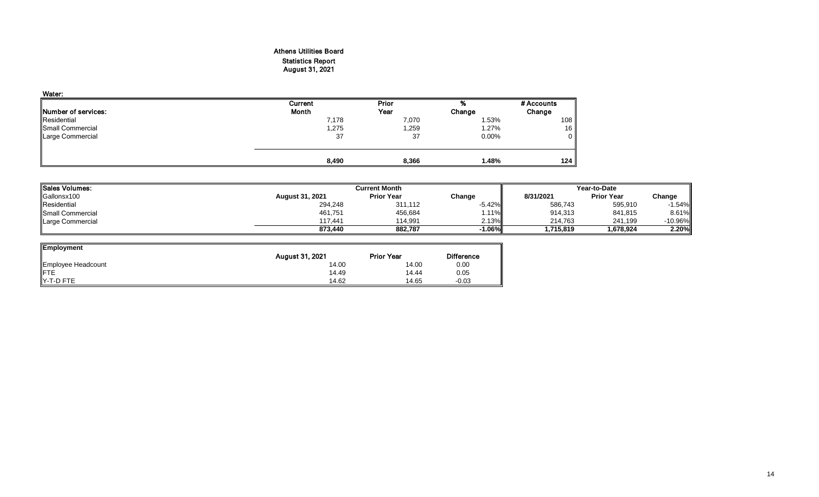# Athens Utilities Board Statistics Report August 31, 2021

| Water:                      |         |       |          |            |
|-----------------------------|---------|-------|----------|------------|
|                             | Current | Prior | %        | # Accounts |
| <b>INumber of services:</b> | Month   | Year  | Change   | Change     |
| Residential                 | 7,178   | 7,070 | 1.53%    | 108        |
| Small Commercial            | 1,275   | .259  | 1.27%    | 16         |
| Large Commercial            | 37      | 37    | $0.00\%$ | 0          |
|                             |         |       |          |            |
|                             | 8,490   | 8,366 | 1.48%    | 124        |

| <b>Sales Volumes:</b> |                        | <b>Current Month</b> |           |           | Year-to-Date      |                  |
|-----------------------|------------------------|----------------------|-----------|-----------|-------------------|------------------|
| Gallonsx100           | <b>August 31, 2021</b> | <b>Prior Year</b>    | Change    | 8/31/2021 | <b>Prior Year</b> | Change           |
| Residential           | 294,248                | 311,112              | $-5.42\%$ | 586,743   | 595,910           | $-1.54%$         |
| Small Commercial      | 461,751                | 456,684              | 1.11%     | 914,313   | 841,815           | 8.61%            |
| Large Commercial      | 117.441                | 114.991              | 2.13%     | 214.763   | 241.199           | -10.96% <b> </b> |
|                       | 873.440                | 882.787              | $-1.06\%$ | 1,715,819 | 1.678.924         | 2.20%            |

| <b>Employment</b>  |                 |                   |                   |
|--------------------|-----------------|-------------------|-------------------|
|                    | August 31, 2021 | <b>Prior Year</b> | <b>Difference</b> |
| Employee Headcount | 14.00           | 14.00             | 0.00              |
| <b>IFTE</b>        | 14.49           | 14.44             | 0.05              |
| IY-T-D FTE         | 14.62           | 14.65             | $-0.03$           |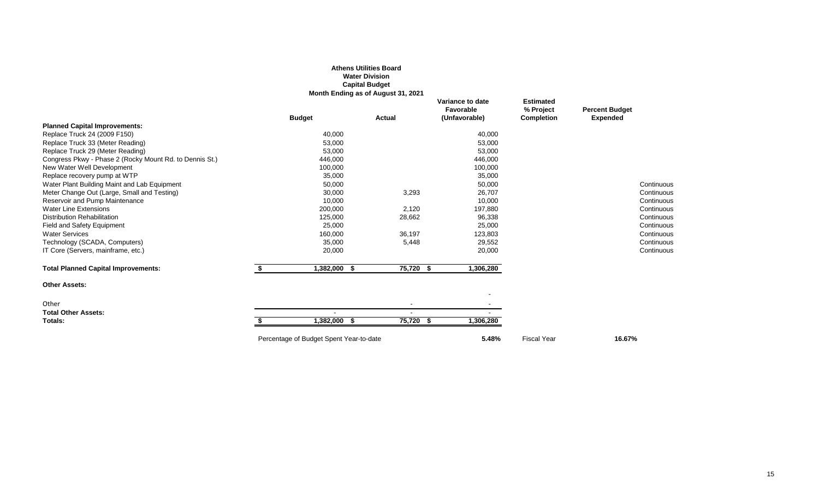#### **Athens Utilities Board Water Division Capital Budget**

**Month Ending as of August 31, 2021**

|                                                         |    | <b>Budget</b>                           | Actual    | Variance to date<br>Favorable<br>(Unfavorable) | <b>Estimated</b><br>% Project<br>Completion | <b>Percent Budget</b><br><b>Expended</b> |
|---------------------------------------------------------|----|-----------------------------------------|-----------|------------------------------------------------|---------------------------------------------|------------------------------------------|
| <b>Planned Capital Improvements:</b>                    |    |                                         |           |                                                |                                             |                                          |
| Replace Truck 24 (2009 F150)                            |    | 40,000                                  |           | 40,000                                         |                                             |                                          |
| Replace Truck 33 (Meter Reading)                        |    | 53,000                                  |           | 53,000                                         |                                             |                                          |
| Replace Truck 29 (Meter Reading)                        |    | 53,000                                  |           | 53,000                                         |                                             |                                          |
| Congress Pkwy - Phase 2 (Rocky Mount Rd. to Dennis St.) |    | 446,000                                 |           | 446,000                                        |                                             |                                          |
| New Water Well Development                              |    | 100,000                                 |           | 100,000                                        |                                             |                                          |
| Replace recovery pump at WTP                            |    | 35,000                                  |           | 35,000                                         |                                             |                                          |
| Water Plant Building Maint and Lab Equipment            |    | 50,000                                  |           | 50,000                                         |                                             | Continuous                               |
| Meter Change Out (Large, Small and Testing)             |    | 30,000                                  | 3,293     | 26,707                                         |                                             | Continuous                               |
| Reservoir and Pump Maintenance                          |    | 10,000                                  |           | 10,000                                         |                                             | Continuous                               |
| <b>Water Line Extensions</b>                            |    | 200,000                                 | 2,120     | 197,880                                        |                                             | Continuous                               |
| <b>Distribution Rehabilitation</b>                      |    | 125,000                                 | 28,662    | 96,338                                         |                                             | Continuous                               |
| Field and Safety Equipment                              |    | 25,000                                  |           | 25,000                                         |                                             | Continuous                               |
| <b>Water Services</b>                                   |    | 160,000                                 | 36,197    | 123,803                                        |                                             | Continuous                               |
| Technology (SCADA, Computers)                           |    | 35,000                                  | 5,448     | 29,552                                         |                                             | Continuous                               |
| IT Core (Servers, mainframe, etc.)                      |    | 20,000                                  |           | 20,000                                         |                                             | Continuous                               |
| <b>Total Planned Capital Improvements:</b>              | S. | 1,382,000 \$                            | 75,720 \$ | 1,306,280                                      |                                             |                                          |
| <b>Other Assets:</b>                                    |    |                                         |           |                                                |                                             |                                          |
| Other                                                   |    |                                         |           |                                                |                                             |                                          |
| <b>Total Other Assets:</b>                              |    |                                         |           |                                                |                                             |                                          |
| Totals:                                                 |    | 1,382,000 \$                            | 75,720 \$ | 1,306,280                                      |                                             |                                          |
|                                                         |    | Percentage of Budget Spent Year-to-date |           | 5.48%                                          | <b>Fiscal Year</b>                          | 16.67%                                   |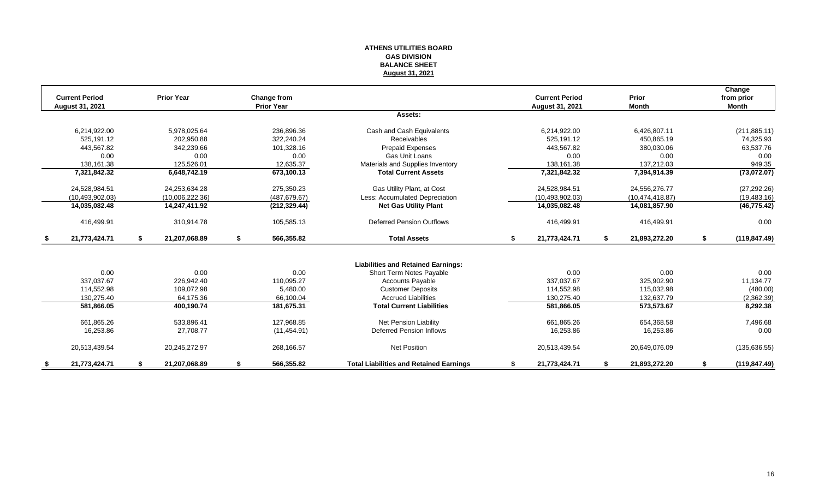#### **ATHENS UTILITIES BOARD GAS DIVISION BALANCE SHEET August 31, 2021**

| <b>Current Period</b> | <b>Prior Year</b>   |    | Change from       |                                                | <b>Current Period</b>  |    | Prior             |    | Change<br>from prior |
|-----------------------|---------------------|----|-------------------|------------------------------------------------|------------------------|----|-------------------|----|----------------------|
| August 31, 2021       |                     |    | <b>Prior Year</b> |                                                | <b>August 31, 2021</b> |    | <b>Month</b>      |    | <b>Month</b>         |
|                       |                     |    |                   | Assets:                                        |                        |    |                   |    |                      |
| 6,214,922.00          | 5,978,025.64        |    | 236,896.36        | Cash and Cash Equivalents                      | 6,214,922.00           |    | 6,426,807.11      |    | (211, 885.11)        |
| 525.191.12            | 202,950.88          |    | 322.240.24        | Receivables                                    | 525,191.12             |    | 450,865.19        |    | 74,325.93            |
| 443,567.82            | 342,239.66          |    | 101,328.16        | Prepaid Expenses                               | 443,567.82             |    | 380,030.06        |    | 63,537.76            |
| 0.00                  | 0.00                |    | 0.00              | Gas Unit Loans                                 | 0.00                   |    | 0.00              |    | 0.00                 |
| 138,161.38            | 125,526.01          |    | 12,635.37         | Materials and Supplies Inventory               | 138,161.38             |    | 137,212.03        |    | 949.35               |
| 7,321,842.32          | 6,648,742.19        |    | 673,100.13        | <b>Total Current Assets</b>                    | 7,321,842.32           |    | 7,394,914.39      |    | (73,072.07)          |
| 24,528,984.51         | 24,253,634.28       |    | 275,350.23        | Gas Utility Plant, at Cost                     | 24,528,984.51          |    | 24,556,276.77     |    | (27, 292.26)         |
| (10, 493, 902.03)     | (10,006,222.36)     |    | (487, 679.67)     | Less: Accumulated Depreciation                 | (10, 493, 902.03)      |    | (10, 474, 418.87) |    | (19, 483.16)         |
| 14,035,082.48         | 14,247,411.92       |    | (212, 329.44)     | <b>Net Gas Utility Plant</b>                   | 14,035,082.48          |    | 14,081,857.90     |    | (46, 775.42)         |
| 416,499.91            | 310,914.78          |    | 105,585.13        | <b>Deferred Pension Outflows</b>               | 416,499.91             |    | 416,499.91        |    | 0.00                 |
| \$<br>21,773,424.71   | \$<br>21,207,068.89 | \$ | 566,355.82        | <b>Total Assets</b>                            | \$<br>21,773,424.71    | S. | 21,893,272.20     | S. | (119, 847.49)        |
|                       |                     |    |                   |                                                |                        |    |                   |    |                      |
|                       |                     |    |                   | <b>Liabilities and Retained Earnings:</b>      |                        |    |                   |    |                      |
| 0.00                  | 0.00                |    | 0.00              | Short Term Notes Payable                       | 0.00                   |    | 0.00              |    | 0.00                 |
| 337.037.67            | 226,942.40          |    | 110,095.27        | <b>Accounts Payable</b>                        | 337,037.67             |    | 325,902.90        |    | 11,134.77            |
| 114,552.98            | 109,072.98          |    | 5.480.00          | <b>Customer Deposits</b>                       | 114,552.98             |    | 115,032.98        |    | (480.00)             |
| 130,275.40            | 64,175.36           |    | 66,100.04         | <b>Accrued Liabilities</b>                     | 130,275.40             |    | 132,637.79        |    | (2,362.39)           |
| 581,866.05            | 400,190.74          |    | 181,675.31        | <b>Total Current Liabilities</b>               | 581,866.05             |    | 573,573.67        |    | 8,292.38             |
| 661,865.26            | 533,896.41          |    | 127,968.85        | <b>Net Pension Liability</b>                   | 661,865.26             |    | 654,368.58        |    | 7,496.68             |
| 16,253.86             | 27,708.77           |    | (11, 454.91)      | <b>Deferred Pension Inflows</b>                | 16,253.86              |    | 16,253.86         |    | 0.00                 |
| 20,513,439.54         | 20,245,272.97       |    | 268,166.57        | <b>Net Position</b>                            | 20,513,439.54          |    | 20,649,076.09     |    | (135, 636.55)        |
| 21,773,424.71         | 21,207,068.89       | S  | 566,355.82        | <b>Total Liabilities and Retained Earnings</b> | 21,773,424.71          |    | 21,893,272.20     |    | (119, 847.49)        |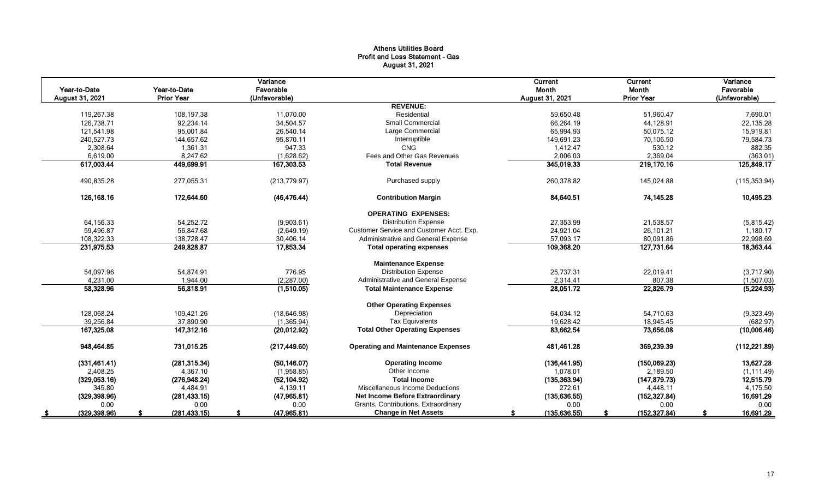# Athens Utilities Board Profit and Loss Statement - Gas August 31, 2021

| Year-to-Date<br>August 31, 2021 | Year-to-Date<br><b>Prior Year</b> | Variance<br>Favorable<br>(Unfavorable) |                                           | Current<br>Month<br>August 31, 2021 | Current<br>Month<br><b>Prior Year</b> | Variance<br>Favorable<br>(Unfavorable) |
|---------------------------------|-----------------------------------|----------------------------------------|-------------------------------------------|-------------------------------------|---------------------------------------|----------------------------------------|
|                                 |                                   |                                        | <b>REVENUE:</b>                           |                                     |                                       |                                        |
| 119,267.38                      | 108,197.38                        | 11,070.00                              | Residential                               | 59,650.48                           | 51,960.47                             | 7,690.01                               |
| 126,738.71                      | 92.234.14                         | 34.504.57                              | <b>Small Commercial</b>                   | 66.264.19                           | 44,128.91                             | 22,135.28                              |
| 121,541.98                      | 95,001.84                         | 26,540.14                              | Large Commercial                          | 65,994.93                           | 50,075.12                             | 15,919.81                              |
| 240,527.73                      | 144,657.62                        | 95,870.11                              | Interruptible                             | 149,691.23                          | 70,106.50                             | 79,584.73                              |
| 2,308.64                        | 1,361.31                          | 947.33                                 | CNG                                       | 1,412.47                            | 530.12                                | 882.35                                 |
| 6,619.00                        | 8,247.62                          | (1,628.62)                             | Fees and Other Gas Revenues               | 2,006.03                            | 2,369.04                              | (363.01)                               |
| 617,003.44                      | 449,699.91                        | 167,303.53                             | <b>Total Revenue</b>                      | 345,019.33                          | 219,170.16                            | 125,849.17                             |
| 490,835.28                      | 277,055.31                        | (213, 779.97)                          | Purchased supply                          | 260,378.82                          | 145,024.88                            | (115, 353.94)                          |
| 126,168.16                      | 172,644.60                        | (46, 476.44)                           | <b>Contribution Margin</b>                | 84,640.51                           | 74,145.28                             | 10,495.23                              |
|                                 |                                   |                                        | <b>OPERATING EXPENSES:</b>                |                                     |                                       |                                        |
| 64,156.33                       | 54,252.72                         | (9,903.61)                             | <b>Distribution Expense</b>               | 27,353.99                           | 21,538.57                             | (5,815.42)                             |
| 59,496.87                       | 56,847.68                         | (2,649.19)                             | Customer Service and Customer Acct. Exp.  | 24,921.04                           | 26,101.21                             | 1,180.17                               |
| 108,322.33                      | 138,728.47                        | 30,406.14                              | Administrative and General Expense        | 57,093.17                           | 80,091.86                             | 22,998.69                              |
| 231,975.53                      | 249,828.87                        | 17,853.34                              | <b>Total operating expenses</b>           | 109,368.20                          | 127,731.64                            | 18,363.44                              |
|                                 |                                   |                                        | <b>Maintenance Expense</b>                |                                     |                                       |                                        |
| 54,097.96                       | 54,874.91                         | 776.95                                 | <b>Distribution Expense</b>               | 25,737.31                           | 22,019.41                             | (3,717.90)                             |
| 4,231.00                        | 1.944.00                          | (2, 287.00)                            | Administrative and General Expense        | 2,314.41                            | 807.38                                | (1,507.03)                             |
| 58,328.96                       | 56,818.91                         | (1,510.05)                             | <b>Total Maintenance Expense</b>          | 28,051.72                           | 22,826.79                             | (5,224.93)                             |
|                                 |                                   |                                        | <b>Other Operating Expenses</b>           |                                     |                                       |                                        |
| 128,068.24                      | 109,421.26                        | (18, 646.98)                           | Depreciation                              | 64,034.12                           | 54,710.63                             | (9,323.49)                             |
| 39,256.84                       | 37,890.90                         | (1,365.94)                             | <b>Tax Equivalents</b>                    | 19,628.42                           | 18,945.45                             | (682.97)                               |
| 167,325.08                      | 147,312.16                        | (20, 012.92)                           | <b>Total Other Operating Expenses</b>     | 83,662.54                           | 73,656.08                             | (10,006.46)                            |
| 948,464.85                      | 731,015.25                        | (217, 449.60)                          | <b>Operating and Maintenance Expenses</b> | 481,461.28                          | 369,239.39                            | (112, 221.89)                          |
| (331, 461.41)                   | (281, 315.34)                     | (50.146.07)                            | <b>Operating Income</b>                   | (136, 441.95)                       | (150,069.23)                          | 13,627.28                              |
| 2,408.25                        | 4,367.10                          | (1,958.85)                             | Other Income                              | 1,078.01                            | 2,189.50                              | (1, 111.49)                            |
| (329,053.16)                    | (276, 948.24)                     | (52, 104.92)                           | <b>Total Income</b>                       | (135, 363.94)                       | (147, 879.73)                         | 12,515.79                              |
| 345.80                          | 4,484.91                          | 4,139.11                               | Miscellaneous Income Deductions           | 272.61                              | 4,448.11                              | 4,175.50                               |
| (329, 398.96)                   | (281, 433.15)                     | (47, 965.81)                           | <b>Net Income Before Extraordinary</b>    | (135, 636.55)                       | (152, 327.84)                         | 16,691.29                              |
| 0.00                            | 0.00                              | 0.00                                   | Grants, Contributions, Extraordinary      | 0.00                                | 0.00                                  | 0.00                                   |
| (329, 398.96)                   | (281, 433.15)                     | (47, 965.81)                           | <b>Change in Net Assets</b>               | (135, 636.55)                       | (152, 327.84)                         | 16,691.29                              |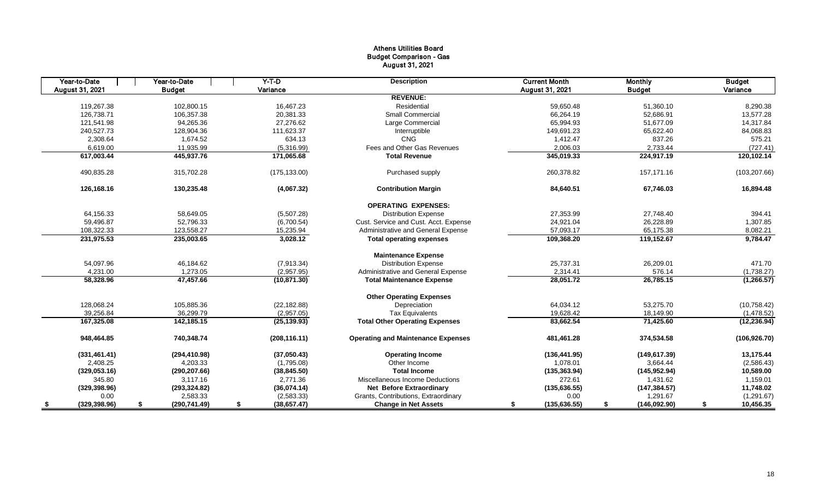# Athens Utilities Board Budget Comparison - Gas August 31, 2021

| Year-to-Date    | Year-to-Date        | $Y-T-D$            | <b>Description</b>                        | <b>Current Month</b> | <b>Monthly</b>     | <b>Budget</b>   |
|-----------------|---------------------|--------------------|-------------------------------------------|----------------------|--------------------|-----------------|
| August 31, 2021 | <b>Budget</b>       | Variance           |                                           | August 31, 2021      | <b>Budget</b>      | Variance        |
|                 |                     |                    | <b>REVENUE:</b>                           |                      |                    |                 |
| 119.267.38      | 102.800.15          | 16.467.23          | Residential                               | 59.650.48            | 51,360.10          | 8,290.38        |
| 126,738.71      | 106,357.38          | 20,381.33          | <b>Small Commercial</b>                   | 66,264.19            | 52,686.91          | 13,577.28       |
| 121.541.98      | 94.265.36           | 27.276.62          | Large Commercial                          | 65.994.93            | 51,677.09          | 14,317.84       |
| 240,527.73      | 128,904.36          | 111,623.37         | Interruptible                             | 149,691.23           | 65,622.40          | 84,068.83       |
| 2,308.64        | 1.674.52            | 634.13             | CNG                                       | 1,412.47             | 837.26             | 575.21          |
| 6,619.00        | 11,935.99           | (5,316.99)         | Fees and Other Gas Revenues               | 2,006.03             | 2,733.44           | (727.41)        |
| 617,003.44      | 445,937.76          | 171,065.68         | <b>Total Revenue</b>                      | 345,019.33           | 224,917.19         | 120,102.14      |
| 490,835.28      | 315,702.28          | (175, 133.00)      | Purchased supply                          | 260,378.82           | 157,171.16         | (103, 207.66)   |
| 126,168.16      | 130,235.48          | (4,067.32)         | <b>Contribution Margin</b>                | 84,640.51            | 67,746.03          | 16,894.48       |
|                 |                     |                    | <b>OPERATING EXPENSES:</b>                |                      |                    |                 |
| 64,156.33       | 58,649.05           | (5,507.28)         | <b>Distribution Expense</b>               | 27,353.99            | 27,748.40          | 394.41          |
| 59,496.87       | 52,796.33           | (6,700.54)         | Cust. Service and Cust. Acct. Expense     | 24,921.04            | 26,228.89          | 1,307.85        |
| 108,322.33      | 123,558.27          | 15,235.94          | Administrative and General Expense        | 57,093.17            | 65,175.38          | 8,082.21        |
| 231,975.53      | 235,003.65          | 3,028.12           | <b>Total operating expenses</b>           | 109,368.20           | 119,152.67         | 9,784.47        |
|                 |                     |                    | <b>Maintenance Expense</b>                |                      |                    |                 |
| 54,097.96       | 46,184.62           | (7,913.34)         | <b>Distribution Expense</b>               | 25,737.31            | 26,209.01          | 471.70          |
| 4,231.00        | 1.273.05            | (2,957.95)         | Administrative and General Expense        | 2,314.41             | 576.14             | (1,738.27)      |
| 58,328.96       | 47,457.66           | (10, 871.30)       | <b>Total Maintenance Expense</b>          | 28,051.72            | 26,785.15          | (1, 266.57)     |
|                 |                     |                    | <b>Other Operating Expenses</b>           |                      |                    |                 |
| 128,068.24      | 105,885.36          | (22, 182.88)       | Depreciation                              | 64,034.12            | 53,275.70          | (10, 758.42)    |
| 39,256.84       | 36,299.79           | (2,957.05)         | <b>Tax Equivalents</b>                    | 19,628.42            | 18,149.90          | (1,478.52)      |
| 167,325.08      | 142,185.15          | (25, 139.93)       | <b>Total Other Operating Expenses</b>     | 83,662.54            | 71,425.60          | (12, 236.94)    |
| 948,464.85      | 740,348.74          | (208, 116.11)      | <b>Operating and Maintenance Expenses</b> | 481,461.28           | 374,534.58         | (106, 926.70)   |
| (331, 461.41)   | (294, 410.98)       | (37,050.43)        | <b>Operating Income</b>                   | (136, 441.95)        | (149, 617.39)      | 13,175.44       |
| 2,408.25        | 4,203.33            | (1,795.08)         | Other Income                              | 1,078.01             | 3,664.44           | (2,586.43)      |
| (329, 053.16)   | (290, 207.66)       | (38, 845.50)       | <b>Total Income</b>                       | (135, 363.94)        | (145, 952.94)      | 10,589.00       |
| 345.80          | 3,117.16            | 2,771.36           | Miscellaneous Income Deductions           | 272.61               | 1,431.62           | 1,159.01        |
| (329, 398.96)   | (293, 324.82)       | (36,074.14)        | <b>Net Before Extraordinary</b>           | (135, 636.55)        | (147, 384.57)      | 11,748.02       |
| 0.00            | 2,583.33            | (2,583.33)         | Grants, Contributions, Extraordinary      | 0.00                 | 1,291.67           | (1,291.67)      |
| (329, 398.96)   | (290, 741.49)<br>\$ | (38, 657.47)<br>\$ | <b>Change in Net Assets</b>               | (135, 636.55)<br>S   | \$<br>(146,092.90) | 10,456.35<br>\$ |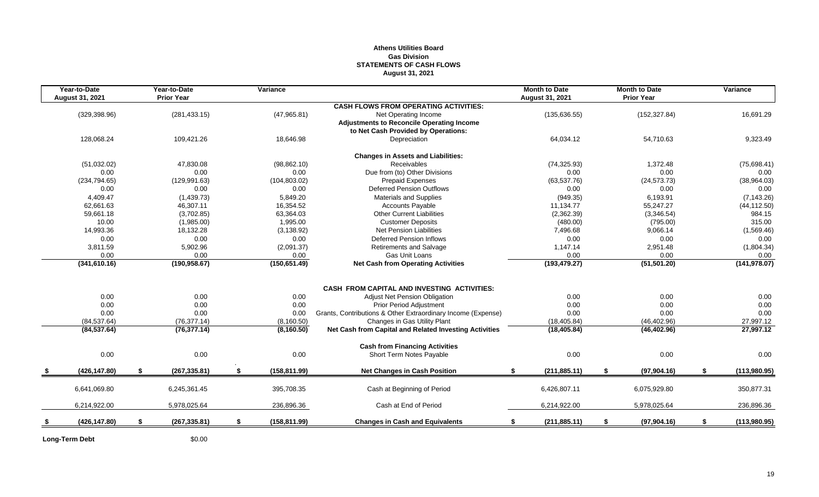### **Athens Utilities Board Gas Division STATEMENTS OF CASH FLOWS August 31, 2021**

| Year-to-Date<br><b>August 31, 2021</b> | Year-to-Date<br><b>Prior Year</b> | Variance            |                                                              | <b>Month to Date</b><br><b>August 31, 2021</b> |          | <b>Month to Date</b><br><b>Prior Year</b> | Variance           |
|----------------------------------------|-----------------------------------|---------------------|--------------------------------------------------------------|------------------------------------------------|----------|-------------------------------------------|--------------------|
|                                        |                                   |                     | <b>CASH FLOWS FROM OPERATING ACTIVITIES:</b>                 |                                                |          |                                           |                    |
| (329, 398.96)                          | (281, 433.15)                     | (47,965.81)         | Net Operating Income                                         | (135, 636.55)                                  |          | (152, 327.84)                             | 16,691.29          |
|                                        |                                   |                     | <b>Adjustments to Reconcile Operating Income</b>             |                                                |          |                                           |                    |
|                                        |                                   |                     | to Net Cash Provided by Operations:                          |                                                |          |                                           |                    |
| 128,068.24                             | 109,421.26                        | 18,646.98           | Depreciation                                                 | 64,034.12                                      |          | 54,710.63                                 | 9,323.49           |
|                                        |                                   |                     | <b>Changes in Assets and Liabilities:</b>                    |                                                |          |                                           |                    |
| (51,032.02)                            | 47,830.08                         | (98, 862.10)        | Receivables                                                  | (74, 325.93)                                   |          | 1,372.48                                  | (75,698.41)        |
| 0.00                                   | 0.00                              | 0.00                | Due from (to) Other Divisions                                |                                                | 0.00     | 0.00                                      | 0.00               |
| (234, 794.65)                          | (129, 991.63)                     | (104, 803.02)       | <b>Prepaid Expenses</b>                                      | (63, 537.76)                                   |          | (24, 573.73)                              | (38,964.03)        |
| 0.00                                   | 0.00                              | 0.00                | <b>Deferred Pension Outflows</b>                             |                                                | 0.00     | 0.00                                      | 0.00               |
| 4,409.47                               | (1,439.73)                        | 5,849.20            | <b>Materials and Supplies</b>                                |                                                | (949.35) | 6,193.91                                  | (7, 143.26)        |
| 62,661.63                              | 46,307.11                         | 16,354.52           | <b>Accounts Payable</b>                                      | 11,134.77                                      |          | 55,247.27                                 | (44, 112.50)       |
| 59,661.18                              | (3,702.85)                        | 63,364.03           | <b>Other Current Liabilities</b>                             | (2,362.39)                                     |          | (3,346.54)                                | 984.15             |
| 10.00                                  | (1,985.00)                        | 1,995.00            | <b>Customer Deposits</b>                                     |                                                | (480.00) | (795.00)                                  | 315.00             |
| 14,993.36                              | 18,132.28                         | (3, 138.92)         | Net Pension Liabilities                                      | 7,496.68                                       |          | 9,066.14                                  | (1,569.46)         |
| 0.00                                   | 0.00                              | 0.00                | <b>Deferred Pension Inflows</b>                              |                                                | 0.00     | 0.00                                      | 0.00               |
| 3,811.59                               | 5,902.96                          | (2,091.37)          | Retirements and Salvage                                      | 1,147.14                                       |          | 2,951.48                                  | (1,804.34)         |
| 0.00                                   | 0.00                              | 0.00                | Gas Unit Loans                                               |                                                | 0.00     | 0.00                                      | 0.00               |
| (341,610.16)                           | (190, 958.67)                     | (150, 651.49)       | <b>Net Cash from Operating Activities</b>                    | (193, 479.27)                                  |          | (51, 501.20)                              | (141, 978.07)      |
|                                        |                                   |                     |                                                              |                                                |          |                                           |                    |
|                                        |                                   |                     | <b>CASH FROM CAPITAL AND INVESTING ACTIVITIES:</b>           |                                                |          |                                           |                    |
| 0.00                                   | 0.00                              | 0.00                | <b>Adjust Net Pension Obligation</b>                         |                                                | 0.00     | 0.00                                      | 0.00               |
| 0.00                                   | 0.00                              | 0.00                | <b>Prior Period Adjustment</b>                               |                                                | 0.00     | 0.00                                      | 0.00               |
| 0.00                                   | 0.00                              | 0.00                | Grants, Contributions & Other Extraordinary Income (Expense) |                                                | 0.00     | 0.00                                      | 0.00               |
| (84, 537.64)                           | (76, 377.14)                      | (8, 160.50)         | Changes in Gas Utility Plant                                 | (18, 405.84)                                   |          | (46, 402.96)                              | 27,997.12          |
| (84, 537.64)                           | (76, 377.14)                      | (8, 160.50)         | Net Cash from Capital and Related Investing Activities       | (18, 405.84)                                   |          | (46, 402.96)                              | 27,997.12          |
|                                        |                                   |                     | <b>Cash from Financing Activities</b>                        |                                                |          |                                           |                    |
| 0.00                                   | 0.00                              | 0.00                | Short Term Notes Payable                                     |                                                | 0.00     | 0.00                                      | 0.00               |
| (426, 147.80)                          | \$<br>(267, 335.81)               | \$<br>(158, 811.99) | <b>Net Changes in Cash Position</b>                          | (211, 885.11)<br>\$                            |          | \$<br>(97, 904.16)                        | \$<br>(113,980.95) |
| 6,641,069.80                           | 6,245,361.45                      | 395,708.35          | Cash at Beginning of Period                                  | 6,426,807.11                                   |          | 6,075,929.80                              | 350,877.31         |
| 6,214,922.00                           | 5,978,025.64                      |                     | Cash at End of Period                                        | 6,214,922.00                                   |          |                                           |                    |
|                                        |                                   | 236,896.36          |                                                              |                                                |          | 5,978,025.64                              | 236,896.36         |
| (426, 147.80)                          | \$<br>(267, 335.81)               | \$<br>(158, 811.99) | <b>Changes in Cash and Equivalents</b>                       | (211, 885.11)<br>\$                            |          | \$<br>(97,904.16)                         | \$<br>(113,980.95) |
|                                        |                                   |                     |                                                              |                                                |          |                                           |                    |

Long-Term Debt \$0.00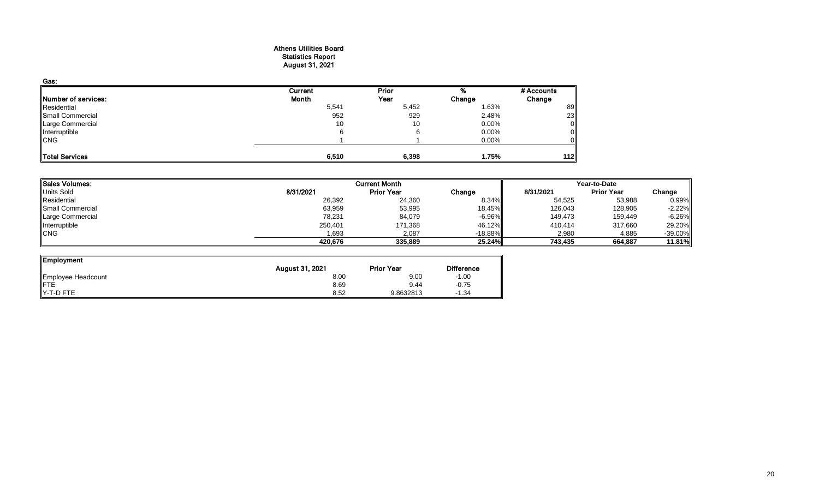#### Athens Utilities Board Statistics Report August 31, 2021

| Gas:                       |         |       |          |            |
|----------------------------|---------|-------|----------|------------|
|                            | Current | Prior |          | # Accounts |
| <b>Number of services:</b> | Month   | Year  | Change   | Change     |
| Residential                | 5,541   | 5,452 | 1.63%    | 89         |
| Small Commercial           | 952     | 929   | 2.48%    | 23         |
| Large Commercial           | 10      | 10    | $0.00\%$ |            |
| Interruptible              |         |       | $0.00\%$ |            |
| <b>CNG</b>                 |         |       | $0.00\%$ |            |
| Total Services             | 6,510   | 6,398 | 1.75%    | 112        |

| Sales Volumes:    |           | <b>Current Month</b> |           | Year-to-Date |                   |           |  |
|-------------------|-----------|----------------------|-----------|--------------|-------------------|-----------|--|
| <b>Units Sold</b> | 8/31/2021 | <b>Prior Year</b>    | Change    | 8/31/2021    | <b>Prior Year</b> | Change    |  |
| Residential       | 26,392    | 24,360               | 8.34%     | 54,525       | 53,988            | 0.99%     |  |
| Small Commercial  | 63,959    | 53,995               | 18.45%    | 126,043      | 128,905           | $-2.22%$  |  |
| Large Commercial  | 78,231    | 84,079               | $-6.96\%$ | 149,473      | 159,449           | $-6.26%$  |  |
| Interruptible     | 250,401   | 171,368              | 46.12%    | 410,414      | 317,660           | 29.20%    |  |
| <b>CNG</b>        | 1,693     | 2,087                | $-18.88%$ | 2,980        | 4,885             | $-39.00%$ |  |
|                   | 420.676   | 335,889              | 25.24%    | 743.435      | 664,887           | 11.81%    |  |

ᆜ

| Employment         |                 |                   |                   |
|--------------------|-----------------|-------------------|-------------------|
|                    | August 31, 2021 | <b>Prior Year</b> | <b>Difference</b> |
| Employee Headcount | 8.00            | 9.00              | $-1.00$           |
| FTE                | 8.69            | 9.44              | $-0.75$           |
| Y-T-D FTE          | 8.52            | 9.8632813         | $-1.34$           |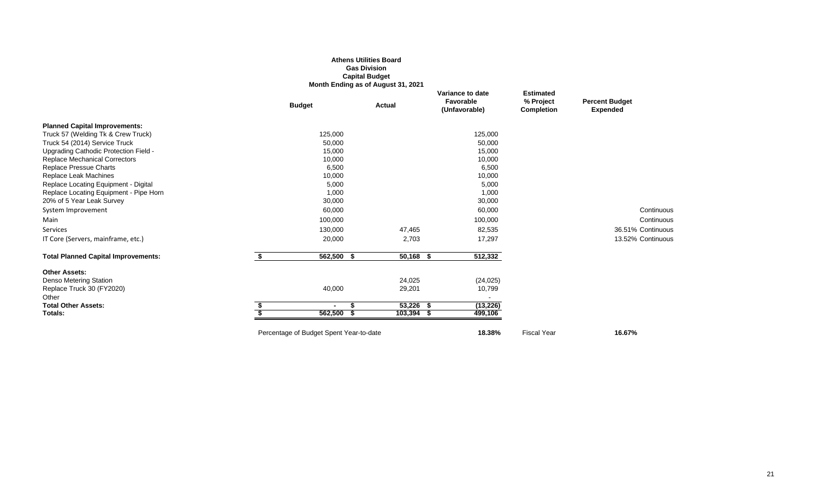#### **Athens Utilities Board Gas Division Capital Budget Month Ending as of August 31, 2021**

|                                            | <b>Budget</b>                           | <b>Actual</b> | Variance to date<br><b>Favorable</b><br>(Unfavorable) |           | <b>Estimated</b><br>% Project<br><b>Completion</b> | <b>Percent Budget</b><br><b>Expended</b> |
|--------------------------------------------|-----------------------------------------|---------------|-------------------------------------------------------|-----------|----------------------------------------------------|------------------------------------------|
| <b>Planned Capital Improvements:</b>       |                                         |               |                                                       |           |                                                    |                                          |
| Truck 57 (Welding Tk & Crew Truck)         | 125,000                                 |               |                                                       | 125,000   |                                                    |                                          |
| Truck 54 (2014) Service Truck              | 50,000                                  |               |                                                       | 50,000    |                                                    |                                          |
| Upgrading Cathodic Protection Field -      | 15,000                                  |               |                                                       | 15,000    |                                                    |                                          |
| <b>Replace Mechanical Correctors</b>       | 10,000                                  |               |                                                       | 10,000    |                                                    |                                          |
| Replace Pressue Charts                     | 6,500                                   |               |                                                       | 6,500     |                                                    |                                          |
| Replace Leak Machines                      | 10,000                                  |               |                                                       | 10,000    |                                                    |                                          |
| Replace Locating Equipment - Digital       | 5,000                                   |               |                                                       | 5,000     |                                                    |                                          |
| Replace Locating Equipment - Pipe Horn     | 1,000                                   |               |                                                       | 1,000     |                                                    |                                          |
| 20% of 5 Year Leak Survey                  | 30,000                                  |               |                                                       | 30,000    |                                                    |                                          |
| System Improvement                         | 60,000                                  |               |                                                       | 60,000    |                                                    | Continuous                               |
| Main                                       | 100,000                                 |               |                                                       | 100,000   |                                                    | Continuous                               |
| Services                                   | 130,000                                 | 47,465        |                                                       | 82,535    |                                                    | 36.51% Continuous                        |
| IT Core (Servers, mainframe, etc.)         | 20,000                                  | 2,703         |                                                       | 17,297    |                                                    | 13.52% Continuous                        |
| <b>Total Planned Capital Improvements:</b> | \$<br>562,500 \$                        | $50,168$ \$   |                                                       | 512,332   |                                                    |                                          |
| <b>Other Assets:</b>                       |                                         |               |                                                       |           |                                                    |                                          |
| Denso Metering Station                     |                                         | 24,025        |                                                       | (24, 025) |                                                    |                                          |
| Replace Truck 30 (FY2020)<br>Other         | 40,000                                  | 29,201        |                                                       | 10,799    |                                                    |                                          |
| <b>Total Other Assets:</b>                 |                                         | $53,226$ \$   |                                                       | (13, 226) |                                                    |                                          |
| Totals:                                    | 562,500                                 | $103,394$ \$  |                                                       | 499,106   |                                                    |                                          |
|                                            | Percentage of Budget Spent Year-to-date |               |                                                       | 18.38%    | <b>Fiscal Year</b>                                 | 16.67%                                   |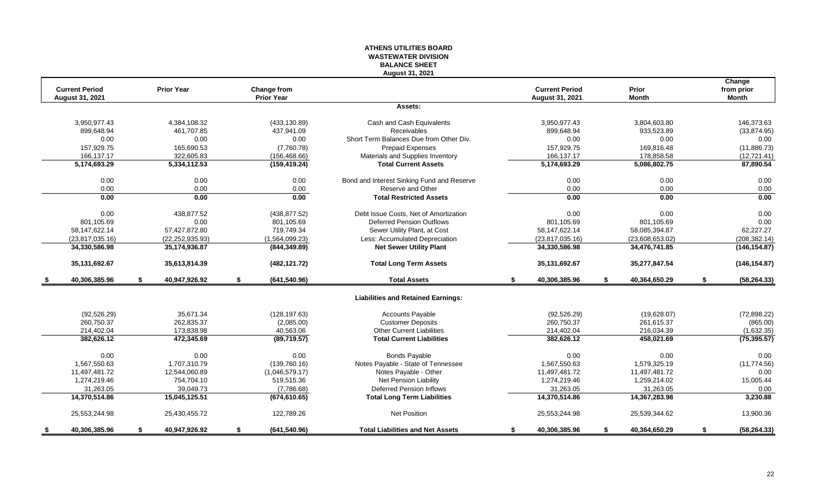#### **ATHENS UTILITIES BOARD WASTEWATER DIVISION BALANCE SHEET August 31, 2021**

|      |                                                 |    |                   |    |                                  |                                            |    |                                                 |                       | Change                     |
|------|-------------------------------------------------|----|-------------------|----|----------------------------------|--------------------------------------------|----|-------------------------------------------------|-----------------------|----------------------------|
|      | <b>Current Period</b><br><b>August 31, 2021</b> |    | <b>Prior Year</b> |    | Change from<br><b>Prior Year</b> |                                            |    | <b>Current Period</b><br><b>August 31, 2021</b> | Prior<br><b>Month</b> | from prior<br><b>Month</b> |
|      |                                                 |    |                   |    |                                  | Assets:                                    |    |                                                 |                       |                            |
|      |                                                 |    |                   |    |                                  |                                            |    |                                                 |                       |                            |
|      | 3.950.977.43                                    |    | 4.384.108.32      |    | (433, 130.89)                    | Cash and Cash Equivalents                  |    | 3,950,977.43                                    | 3.804.603.80          | 146.373.63                 |
|      | 899,648.94                                      |    | 461,707.85        |    | 437,941.09                       | Receivables                                |    | 899,648.94                                      | 933,523.89            | (33, 874.95)               |
|      | 0.00                                            |    | 0.00              |    | 0.00                             | Short Term Balances Due from Other Div.    |    | 0.00                                            | 0.00                  | 0.00                       |
|      | 157,929.75                                      |    | 165,690.53        |    | (7,760.78)                       | Prepaid Expenses                           |    | 157,929.75                                      | 169,816.48            | (11, 886.73)               |
|      | 166,137.17                                      |    | 322.605.83        |    | (156, 468.66)                    | Materials and Supplies Inventory           |    | 166,137.17                                      | 178,858.58            | (12, 721.41)               |
|      | 5,174,693.29                                    |    | 5,334,112.53      |    | (159, 419.24)                    | <b>Total Current Assets</b>                |    | 5,174,693.29                                    | 5,086,802.75          | 87,890.54                  |
|      | 0.00                                            |    | 0.00              |    | 0.00                             | Bond and Interest Sinking Fund and Reserve |    | 0.00                                            | 0.00                  | 0.00                       |
|      | 0.00                                            |    | 0.00              |    | 0.00                             | Reserve and Other                          |    | 0.00                                            | 0.00                  | 0.00                       |
|      | 0.00                                            |    | 0.00              |    | 0.00                             | <b>Total Restricted Assets</b>             |    | 0.00                                            | 0.00                  | 0.00                       |
|      | 0.00                                            |    | 438.877.52        |    | (438, 877.52)                    | Debt Issue Costs, Net of Amortization      |    | 0.00                                            | 0.00                  | 0.00                       |
|      | 801,105.69                                      |    | 0.00              |    | 801,105.69                       | <b>Deferred Pension Outflows</b>           |    | 801,105.69                                      | 801,105.69            | 0.00                       |
|      | 58,147,622.14                                   |    | 57,427,872.80     |    | 719,749.34                       | Sewer Utility Plant, at Cost               |    | 58,147,622.14                                   | 58,085,394.87         | 62,227.27                  |
|      | (23,817,035.16)                                 |    | (22, 252, 935.93) |    | (1,564,099.23)                   | Less: Accumulated Depreciation             |    | (23, 817, 035.16)                               | (23,608,653.02)       | (208, 382.14)              |
|      | 34,330,586.98                                   |    | 35,174,936.87     |    | (844, 349.89)                    | <b>Net Sewer Utility Plant</b>             |    | 34,330,586.98                                   | 34,476,741.85         | (146, 154.87)              |
|      | 35,131,692.67                                   |    | 35,613,814.39     |    | (482, 121.72)                    | <b>Total Long Term Assets</b>              |    | 35,131,692.67                                   | 35,277,847.54         | (146, 154.87)              |
| - \$ | 40,306,385.96                                   | \$ | 40,947,926.92     | \$ | (641, 540.96)                    | <b>Total Assets</b>                        | \$ | 40,306,385.96                                   | \$<br>40,364,650.29   | \$<br>(58, 264.33)         |
|      |                                                 |    |                   |    |                                  | <b>Liabilities and Retained Earnings:</b>  |    |                                                 |                       |                            |
|      | (92, 526.29)                                    |    | 35.671.34         |    | (128, 197.63)                    | <b>Accounts Payable</b>                    |    | (92, 526.29)                                    | (19,628.07)           | (72,898.22)                |
|      | 260,750.37                                      |    | 262,835.37        |    | (2,085.00)                       | <b>Customer Deposits</b>                   |    | 260,750.37                                      | 261,615.37            | (865.00)                   |
|      | 214,402.04                                      |    | 173,838.98        |    | 40,563.06                        | <b>Other Current Liabilities</b>           |    | 214,402.04                                      | 216,034.39            | (1,632.35)                 |
|      | 382,626.12                                      |    | 472,345.69        |    | (89,719.57)                      | <b>Total Current Liabilities</b>           |    | 382,626.12                                      | 458,021.69            | (75, 395.57)               |
|      | 0.00                                            |    | 0.00              |    | 0.00                             | <b>Bonds Payable</b>                       |    | 0.00                                            | 0.00                  | 0.00                       |
|      | 1,567,550.63                                    |    | 1,707,310.79      |    | (139,760.16)                     | Notes Payable - State of Tennessee         |    | 1.567.550.63                                    | 1,579,325.19          | (11, 774.56)               |
|      | 11,497,481.72                                   |    | 12,544,060.89     |    | (1,046,579.17)                   | Notes Payable - Other                      |    | 11,497,481.72                                   | 11,497,481.72         | 0.00                       |
|      | 1,274,219.46                                    |    | 754,704.10        |    | 519,515.36                       | Net Pension Liability                      |    | 1,274,219.46                                    | 1,259,214.02          | 15,005.44                  |
|      | 31,263.05                                       |    | 39,049.73         |    | (7,786.68)                       | <b>Deferred Pension Inflows</b>            |    | 31,263.05                                       | 31,263.05             | 0.00                       |
|      | 14,370,514.86                                   |    | 15,045,125.51     |    | (674, 610.65)                    | <b>Total Long Term Liabilities</b>         |    | 14,370,514.86                                   | 14,367,283.98         | 3,230.88                   |
|      | 25,553,244.98                                   |    | 25,430,455.72     |    | 122,789.26                       | <b>Net Position</b>                        |    | 25,553,244.98                                   | 25,539,344.62         | 13,900.36                  |
| - 5  | 40,306,385.96                                   | S. | 40,947,926.92     | S. | (641, 540.96)                    | <b>Total Liabilities and Net Assets</b>    | S. | 40,306,385.96                                   | \$<br>40,364,650.29   | \$<br>(58, 264.33)         |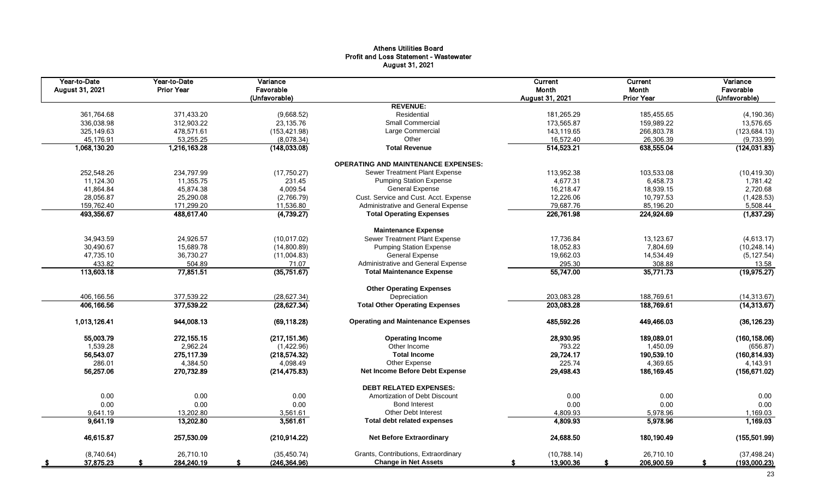# Athens Utilities Board Profit and Loss Statement - Wastewater August 31, 2021

| Year-to-Date<br>August 31, 2021 | Year-to-Date<br><b>Prior Year</b> | Variance<br>Favorable<br>(Unfavorable) |                                            | Current<br>Month<br>August 31, 2021 | <b>Current</b><br>Month<br><b>Prior Year</b> | Variance<br>Favorable<br>(Unfavorable) |
|---------------------------------|-----------------------------------|----------------------------------------|--------------------------------------------|-------------------------------------|----------------------------------------------|----------------------------------------|
|                                 |                                   |                                        | <b>REVENUE:</b>                            |                                     |                                              |                                        |
| 361,764.68                      | 371,433.20                        | (9,668.52)                             | Residential                                | 181,265.29                          | 185,455.65                                   | (4, 190.36)                            |
| 336,038.98                      | 312,903.22                        | 23,135.76                              | <b>Small Commercial</b>                    | 173,565.87                          | 159,989.22                                   | 13,576.65                              |
| 325,149.63                      | 478,571.61                        | (153, 421.98)                          | Large Commercial                           | 143,119.65                          | 266,803.78                                   | (123, 684.13)                          |
| 45,176.91                       | 53,255.25                         | (8,078.34)                             | Other                                      | 16,572.40                           | 26,306.39                                    | (9,733.99)                             |
| 1,068,130.20                    | 1,216,163.28                      | (148, 033.08)                          | <b>Total Revenue</b>                       | 514,523.21                          | 638,555.04                                   | (124, 031.83)                          |
|                                 |                                   |                                        | <b>OPERATING AND MAINTENANCE EXPENSES:</b> |                                     |                                              |                                        |
| 252,548.26                      | 234,797.99                        | (17, 750.27)                           | Sewer Treatment Plant Expense              | 113,952.38                          | 103,533.08                                   | (10, 419.30)                           |
| 11,124.30                       | 11,355.75                         | 231.45                                 | <b>Pumping Station Expense</b>             | 4,677.31                            | 6,458.73                                     | 1,781.42                               |
| 41,864.84                       | 45,874.38                         | 4,009.54                               | <b>General Expense</b>                     | 16,218.47                           | 18,939.15                                    | 2,720.68                               |
| 28,056.87                       | 25,290.08                         | (2,766.79)                             | Cust. Service and Cust. Acct. Expense      | 12,226.06                           | 10,797.53                                    | (1,428.53)                             |
| 159,762.40                      | 171,299.20                        | 11,536.80                              | Administrative and General Expense         | 79,687.76                           | 85,196.20                                    | 5,508.44                               |
| 493,356.67                      | 488,617.40                        | (4,739.27)                             | <b>Total Operating Expenses</b>            | 226,761.98                          | 224,924.69                                   | (1,837.29)                             |
|                                 |                                   |                                        | <b>Maintenance Expense</b>                 |                                     |                                              |                                        |
| 34,943.59                       | 24,926.57                         | (10.017.02)                            | Sewer Treatment Plant Expense              | 17,736.84                           | 13,123.67                                    | (4,613.17)                             |
| 30,490.67                       | 15,689.78                         | (14,800.89)                            | <b>Pumping Station Expense</b>             | 18,052.83                           | 7,804.69                                     | (10, 248.14)                           |
| 47,735.10                       | 36,730.27                         | (11,004.83)                            | <b>General Expense</b>                     | 19,662.03                           | 14,534.49                                    | (5, 127.54)                            |
| 433.82                          | 504.89                            | 71.07                                  | Administrative and General Expense         | 295.30                              | 308.88                                       | 13.58                                  |
| 113,603.18                      | 77,851.51                         | (35,751.67)                            | <b>Total Maintenance Expense</b>           | 55,747.00                           | 35,771.73                                    | (19, 975.27)                           |
|                                 |                                   |                                        | <b>Other Operating Expenses</b>            |                                     |                                              |                                        |
| 406,166.56                      | 377,539.22                        | (28, 627.34)                           | Depreciation                               | 203.083.28                          | 188,769.61                                   | (14, 313.67)                           |
| 406,166.56                      | 377,539.22                        | (28, 627.34)                           | <b>Total Other Operating Expenses</b>      | 203,083.28                          | 188,769.61                                   | (14, 313.67)                           |
| 1,013,126.41                    | 944,008.13                        | (69, 118.28)                           | <b>Operating and Maintenance Expenses</b>  | 485,592.26                          | 449,466.03                                   | (36, 126.23)                           |
| 55,003.79                       | 272, 155. 15                      | (217, 151.36)                          | <b>Operating Income</b>                    | 28,930.95                           | 189,089.01                                   | (160, 158.06)                          |
| 1,539.28                        | 2,962.24                          | (1,422.96)                             | Other Income                               | 793.22                              | 1,450.09                                     | (656.87)                               |
| 56,543.07                       | 275,117.39                        | (218, 574.32)                          | <b>Total Income</b>                        | 29,724.17                           | 190,539.10                                   | (160, 814.93)                          |
| 286.01                          | 4,384.50                          | 4,098.49                               | Other Expense                              | 225.74                              | 4,369.65                                     | 4,143.91                               |
| 56,257.06                       | 270,732.89                        | (214, 475.83)                          | Net Income Before Debt Expense             | 29,498.43                           | 186,169.45                                   | (156, 671.02)                          |
|                                 |                                   |                                        | <b>DEBT RELATED EXPENSES:</b>              |                                     |                                              |                                        |
| 0.00                            | 0.00                              | 0.00                                   | Amortization of Debt Discount              | 0.00                                | 0.00                                         | 0.00                                   |
| 0.00                            | 0.00                              | 0.00                                   | <b>Bond Interest</b>                       | 0.00                                | 0.00                                         | 0.00                                   |
| 9,641.19                        | 13,202.80                         | 3,561.61                               | <b>Other Debt Interest</b>                 | 4,809.93                            | 5,978.96                                     | 1,169.03                               |
| 9,641.19                        | 13,202.80                         | 3,561.61                               | <b>Total debt related expenses</b>         | 4,809.93                            | 5,978.96                                     | 1,169.03                               |
| 46,615.87                       | 257,530.09                        | (210, 914.22)                          | <b>Net Before Extraordinary</b>            | 24,688.50                           | 180,190.49                                   | (155, 501.99)                          |
| (8,740.64)                      | 26.710.10                         | (35, 450.74)                           | Grants, Contributions, Extraordinary       | (10,788.14)                         | 26,710.10                                    | (37, 498.24)                           |
| 37,875.23<br>- 56               | 284,240.19                        | (246, 364.96)                          | <b>Change in Net Assets</b>                | 13,900.36                           | 206,900.59                                   | (193,000.23)<br>-S                     |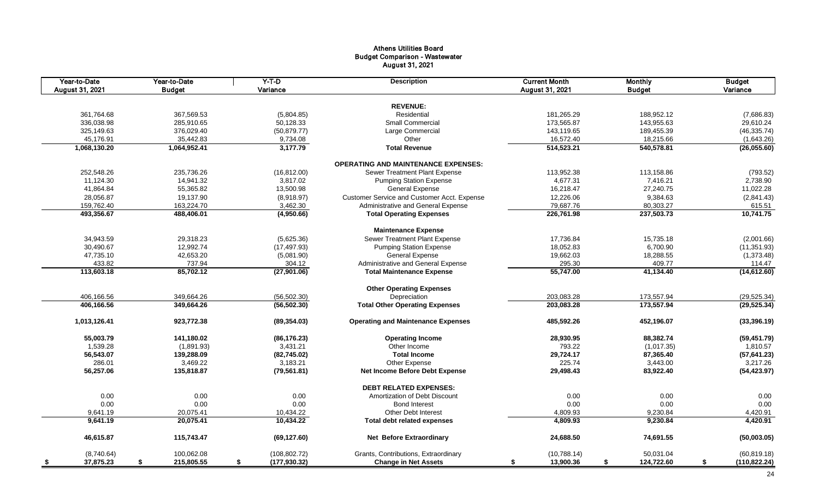# Athens Utilities Board Budget Comparison - Wastewater August 31, 2021

| Year-to-Date<br>August 31, 2021 | Year-to-Date<br><b>Budget</b> | $Y-T-D$<br>Variance | <b>Description</b>                          | <b>Current Month</b><br>August 31, 2021 | <b>Monthly</b><br><b>Budget</b> | <b>Budget</b><br>Variance |
|---------------------------------|-------------------------------|---------------------|---------------------------------------------|-----------------------------------------|---------------------------------|---------------------------|
|                                 |                               |                     |                                             |                                         |                                 |                           |
|                                 |                               |                     | <b>REVENUE:</b>                             |                                         |                                 |                           |
| 361,764.68                      | 367,569.53                    | (5,804.85)          | Residential                                 | 181,265.29                              | 188,952.12                      | (7,686.83)                |
| 336,038.98                      | 285,910.65                    | 50,128.33           | Small Commercial                            | 173,565.87                              | 143,955.63                      | 29,610.24                 |
| 325,149.63                      | 376,029.40                    | (50, 879.77)        | Large Commercial                            | 143,119.65                              | 189,455.39                      | (46, 335.74)              |
| 45,176.91                       | 35,442.83                     | 9,734.08            | Other                                       | 16,572.40                               | 18,215.66                       | (1,643.26)                |
| 1,068,130.20                    | 1,064,952.41                  | 3,177.79            | <b>Total Revenue</b>                        | 514,523.21                              | 540,578.81                      | (26,055.60)               |
|                                 |                               |                     | <b>OPERATING AND MAINTENANCE EXPENSES:</b>  |                                         |                                 |                           |
| 252,548.26                      | 235,736.26                    | (16, 812.00)        | Sewer Treatment Plant Expense               | 113,952.38                              | 113,158.86                      | (793.52)                  |
| 11,124.30                       | 14,941.32                     | 3,817.02            | <b>Pumping Station Expense</b>              | 4,677.31                                | 7,416.21                        | 2,738.90                  |
| 41,864.84                       | 55,365.82                     | 13,500.98           | <b>General Expense</b>                      | 16,218.47                               | 27,240.75                       | 11,022.28                 |
| 28,056.87                       | 19,137.90                     | (8,918.97)          | Customer Service and Customer Acct. Expense | 12,226.06                               | 9,384.63                        | (2,841.43)                |
| 159,762.40                      | 163,224.70                    | 3,462.30            | Administrative and General Expense          | 79,687.76                               | 80,303.27                       | 615.51                    |
| 493,356.67                      | 488,406.01                    | (4,950.66)          | <b>Total Operating Expenses</b>             | 226,761.98                              | 237,503.73                      | 10,741.75                 |
|                                 |                               |                     | <b>Maintenance Expense</b>                  |                                         |                                 |                           |
| 34,943.59                       | 29,318.23                     | (5,625.36)          | Sewer Treatment Plant Expense               | 17,736.84                               | 15,735.18                       | (2,001.66)                |
| 30,490.67                       | 12,992.74                     | (17, 497.93)        | <b>Pumping Station Expense</b>              | 18,052.83                               | 6,700.90                        | (11, 351.93)              |
| 47,735.10                       | 42,653.20                     | (5,081.90)          | <b>General Expense</b>                      | 19,662.03                               | 18,288.55                       | (1,373.48)                |
| 433.82                          | 737.94                        | 304.12              | Administrative and General Expense          | 295.30                                  | 409.77                          | 114.47                    |
| 113,603.18                      | 85,702.12                     | (27,901.06)         | <b>Total Maintenance Expense</b>            | 55,747.00                               | 41,134.40                       | (14,612.60)               |
|                                 |                               |                     |                                             |                                         |                                 |                           |
|                                 |                               |                     | <b>Other Operating Expenses</b>             |                                         |                                 |                           |
| 406,166.56                      | 349,664.26                    | (56, 502.30)        | Depreciation                                | 203,083.28                              | 173,557.94                      | (29, 525.34)              |
| 406,166.56                      | 349,664.26                    | (56, 502.30)        | <b>Total Other Operating Expenses</b>       | 203,083.28                              | 173,557.94                      | (29, 525.34)              |
| 1,013,126.41                    | 923,772.38                    | (89, 354.03)        | <b>Operating and Maintenance Expenses</b>   | 485,592.26                              | 452,196.07                      | (33, 396.19)              |
| 55,003.79                       | 141,180.02                    | (86, 176.23)        | <b>Operating Income</b>                     | 28,930.95                               | 88,382.74                       | (59, 451.79)              |
| 1,539.28                        | (1,891.93)                    | 3,431.21            | Other Income                                | 793.22                                  | (1,017.35)                      | 1,810.57                  |
| 56,543.07                       | 139,288.09                    | (82, 745.02)        | <b>Total Income</b>                         | 29,724.17                               | 87,365.40                       | (57, 641.23)              |
| 286.01                          | 3,469.22                      | 3,183.21            | Other Expense                               | 225.74                                  | 3,443.00                        | 3,217.26                  |
| 56,257.06                       | 135,818.87                    | (79, 561.81)        | Net Income Before Debt Expense              | 29,498.43                               | 83,922.40                       | (54, 423.97)              |
|                                 |                               |                     | <b>DEBT RELATED EXPENSES:</b>               |                                         |                                 |                           |
| 0.00                            | 0.00                          | 0.00                | Amortization of Debt Discount               | 0.00                                    | 0.00                            | 0.00                      |
| 0.00                            | 0.00                          | 0.00                | <b>Bond Interest</b>                        | 0.00                                    | 0.00                            | 0.00                      |
| 9,641.19                        | 20,075.41                     | 10,434.22           | Other Debt Interest                         | 4,809.93                                | 9,230.84                        | 4,420.91                  |
| 9,641.19                        | 20,075.41                     | 10,434.22           | <b>Total debt related expenses</b>          | 4,809.93                                | 9,230.84                        | 4,420.91                  |
| 46,615.87                       | 115,743.47                    | (69, 127.60)        | <b>Net Before Extraordinary</b>             | 24,688.50                               | 74,691.55                       | (50,003.05)               |
| (8,740.64)                      | 100,062.08                    | (108, 802.72)       | Grants, Contributions, Extraordinary        | (10,788.14)                             | 50,031.04                       | (60, 819.18)              |
| 37,875.23<br>- \$               | \$<br>215,805.55              | \$<br>(177, 930.32) | <b>Change in Net Assets</b>                 | 13,900.36<br>\$                         | \$<br>124,722.60                | \$<br>(110, 822.24)       |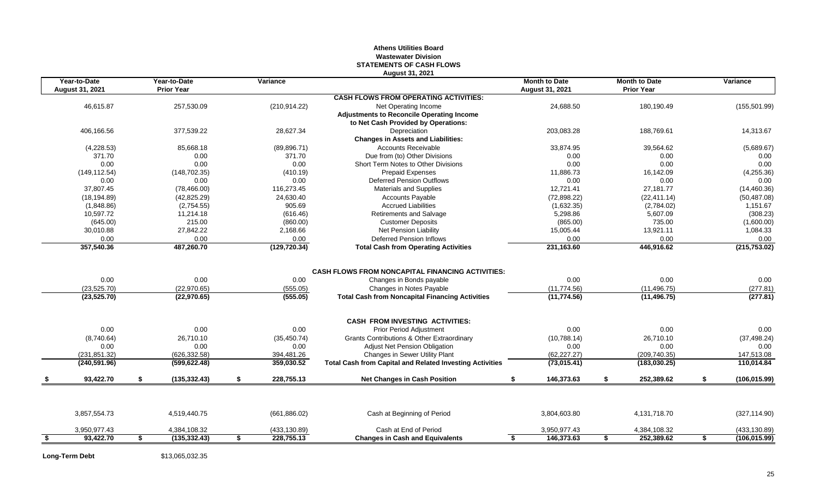#### **Athens Utilities Board Wastewater Division STATEMENTS OF CASH FLOWS August 31, 2021**

| Year-to-Date<br><b>August 31, 2021</b> | Year-to-Date<br><b>Prior Year</b> | Variance         |                                                                 | <b>Month to Date</b><br><b>August 31, 2021</b> | <b>Month to Date</b><br><b>Prior Year</b> | Variance            |
|----------------------------------------|-----------------------------------|------------------|-----------------------------------------------------------------|------------------------------------------------|-------------------------------------------|---------------------|
|                                        |                                   |                  | <b>CASH FLOWS FROM OPERATING ACTIVITIES:</b>                    |                                                |                                           |                     |
| 46,615.87                              | 257,530.09                        | (210, 914.22)    | Net Operating Income                                            | 24,688.50                                      | 180,190.49                                | (155, 501.99)       |
|                                        |                                   |                  | <b>Adjustments to Reconcile Operating Income</b>                |                                                |                                           |                     |
|                                        |                                   |                  | to Net Cash Provided by Operations:                             |                                                |                                           |                     |
| 406,166.56                             | 377,539.22                        | 28,627.34        | Depreciation                                                    | 203,083.28                                     | 188,769.61                                | 14,313.67           |
|                                        |                                   |                  | <b>Changes in Assets and Liabilities:</b>                       |                                                |                                           |                     |
| (4,228.53)                             | 85,668.18                         | (89, 896.71)     | <b>Accounts Receivable</b>                                      | 33,874.95                                      | 39,564.62                                 | (5,689.67)          |
| 371.70                                 | 0.00                              | 371.70           | Due from (to) Other Divisions                                   | 0.00                                           | 0.00                                      | 0.00                |
| 0.00                                   | 0.00                              | 0.00             | Short Term Notes to Other Divisions                             | 0.00                                           | 0.00                                      | 0.00                |
| (149, 112.54)                          | (148, 702.35)                     | (410.19)         | <b>Prepaid Expenses</b>                                         | 11,886.73                                      | 16,142.09                                 | (4,255.36)          |
| 0.00                                   | 0.00                              | 0.00             | <b>Deferred Pension Outflows</b>                                | 0.00                                           | 0.00                                      | 0.00                |
| 37,807.45                              | (78, 466.00)                      | 116,273.45       | <b>Materials and Supplies</b>                                   | 12,721.41                                      | 27,181.77                                 | (14, 460.36)        |
| (18, 194.89)                           | (42, 825.29)                      | 24,630.40        | <b>Accounts Payable</b>                                         | (72, 898.22)                                   | (22, 411.14)                              | (50, 487.08)        |
| (1,848.86)                             | (2,754.55)                        | 905.69           | <b>Accrued Liabilities</b>                                      | (1,632.35)                                     | (2,784.02)                                | 1,151.67            |
| 10,597.72                              | 11,214.18                         | (616.46)         | Retirements and Salvage                                         | 5,298.86                                       | 5,607.09                                  | (308.23)            |
| (645.00)                               | 215.00                            | (860.00)         | <b>Customer Deposits</b>                                        | (865.00)                                       | 735.00                                    | (1,600.00)          |
| 30,010.88                              | 27,842.22                         | 2,168.66         | <b>Net Pension Liability</b>                                    | 15,005.44                                      | 13,921.11                                 | 1,084.33            |
| 0.00                                   | 0.00                              | 0.00             | <b>Deferred Pension Inflows</b>                                 | 0.00                                           | 0.00                                      | 0.00                |
| 357,540.36                             | 487,260.70                        | (129, 720.34)    | <b>Total Cash from Operating Activities</b>                     | 231,163.60                                     | 446,916.62                                | (215, 753.02)       |
|                                        |                                   |                  | <b>CASH FLOWS FROM NONCAPITAL FINANCING ACTIVITIES:</b>         |                                                |                                           |                     |
| 0.00                                   | 0.00                              | 0.00             | Changes in Bonds payable                                        | 0.00                                           | 0.00                                      | 0.00                |
| (23, 525.70)                           | (22,970.65)                       | (555.05)         | Changes in Notes Payable                                        | (11, 774.56)                                   | (11, 496.75)                              | (277.81)            |
| (23, 525.70)                           | (22,970.65)                       | (555.05)         | <b>Total Cash from Noncapital Financing Activities</b>          | (11, 774.56)                                   | (11, 496.75)                              | (277.81)            |
|                                        |                                   |                  | <b>CASH FROM INVESTING ACTIVITIES:</b>                          |                                                |                                           |                     |
| 0.00                                   | 0.00                              | 0.00             | <b>Prior Period Adjustment</b>                                  | 0.00                                           | 0.00                                      | 0.00                |
| (8,740.64)                             | 26,710.10                         | (35, 450.74)     | <b>Grants Contributions &amp; Other Extraordinary</b>           | (10,788.14)                                    | 26,710.10                                 | (37, 498.24)        |
| 0.00                                   | 0.00                              | 0.00             | Adjust Net Pension Obligation                                   | 0.00                                           | 0.00                                      | 0.00                |
| (231, 851.32)                          | (626.332.58)                      | 394,481.26       | Changes in Sewer Utility Plant                                  | (62, 227.27)                                   | (209, 740.35)                             | 147,513.08          |
| (240, 591.96)                          | (599, 622.48)                     | 359,030.52       | <b>Total Cash from Capital and Related Investing Activities</b> | (73,015.41)                                    | (183,030.25)                              | 110.014.84          |
| 93,422.70                              | \$<br>(135, 332.43)               | \$<br>228,755.13 | <b>Net Changes in Cash Position</b>                             | 146,373.63                                     | \$<br>252,389.62                          | \$<br>(106, 015.99) |
|                                        |                                   |                  |                                                                 |                                                |                                           |                     |
| 3,857,554.73                           | 4,519,440.75                      | (661, 886.02)    | Cash at Beginning of Period                                     | 3,804,603.80                                   | 4,131,718.70                              | (327, 114.90)       |
| 3,950,977.43                           | 4,384,108.32                      | (433, 130.89)    | Cash at End of Period                                           | 3,950,977.43                                   | 4,384,108.32                              | (433, 130.89)       |
|                                        |                                   |                  |                                                                 |                                                |                                           |                     |

**Long-Term Debt** \$13,065,032.35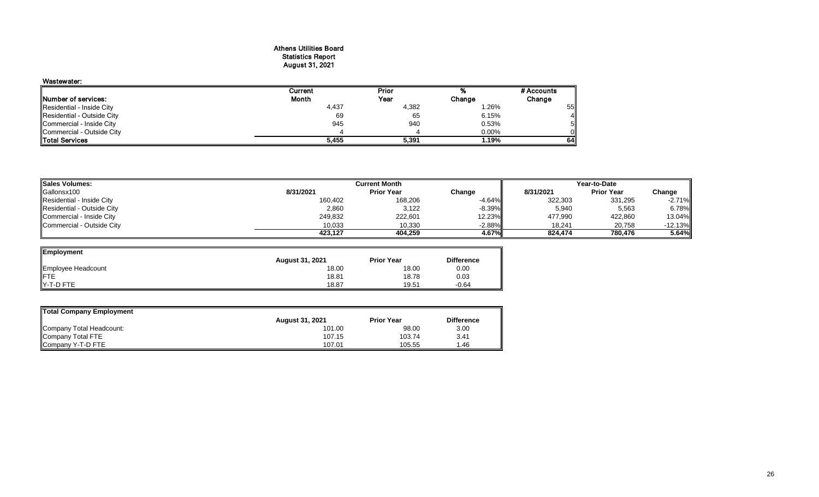#### Athens Utilities Board Statistics Report August 31, 2021

# Wastewater:

|                            | Current | Prior | %        | # Accounts |
|----------------------------|---------|-------|----------|------------|
| Number of services:        | Month   | Year  | Change   | Change     |
| Residential - Inside City  | 4,437   | 4,382 | 1.26%    | 55         |
| Residential - Outside City | 69      | 65    | 6.15%    | 4II        |
| Commercial - Inside City   | 945     | 940   | 0.53%    | 5          |
| Commercial - Outside City  |         |       | $0.00\%$ | ΟII        |
| <b>Total Services</b>      | 5,455   | 5.391 | 1.19%    | 64I        |

| Sales Volumes:             | <b>Current Month</b> |                   |           |           | Year-to-Date      |           |
|----------------------------|----------------------|-------------------|-----------|-----------|-------------------|-----------|
| Gallonsx100                | 8/31/2021            | <b>Prior Year</b> | Change    | 8/31/2021 | <b>Prior Year</b> | Change    |
| Residential - Inside City  | 160,402              | 168,206           | $-4.64%$  | 322,303   | 331,295           | $-2.71%$  |
| Residential - Outside City | 2,860                | 3,122             | $-8.39\%$ | 5,940     | 5,563             | 6.78%     |
| Commercial - Inside City   | 249,832              | 222,601           | $12.23\%$ | 477,990   | 422,860           | 13.04%    |
| Commercial - Outside City  | 10,033               | 10,330            | $-2.88%$  | 18,241    | 20,758            | $-12.13%$ |
|                            | 423.127              | 404.259           | 4.67%     | 824.474   | 780.476           | 5.64%     |

| Employment         |                        |                   |                   |
|--------------------|------------------------|-------------------|-------------------|
|                    | <b>August 31, 2021</b> | <b>Prior Year</b> | <b>Difference</b> |
| Employee Headcount | 18.00                  | 18.00             | 0.00              |
|                    | 18.81                  | 18.78             | 0.03              |
| <b>Y-T-D FTE</b>   | 18.87                  | 19.51             | $-0.64$           |

| Total Company Employment |                        |                   |                   |
|--------------------------|------------------------|-------------------|-------------------|
|                          | <b>August 31, 2021</b> | <b>Prior Year</b> | <b>Difference</b> |
| Company Total Headcount: | 101.00                 | 98.00             | 3.00              |
| Company Total FTE        | 107.15                 | 103.74            | 3.41              |
| Company Y-T-D FTE        | 107.01                 | 105.55            | 1.46              |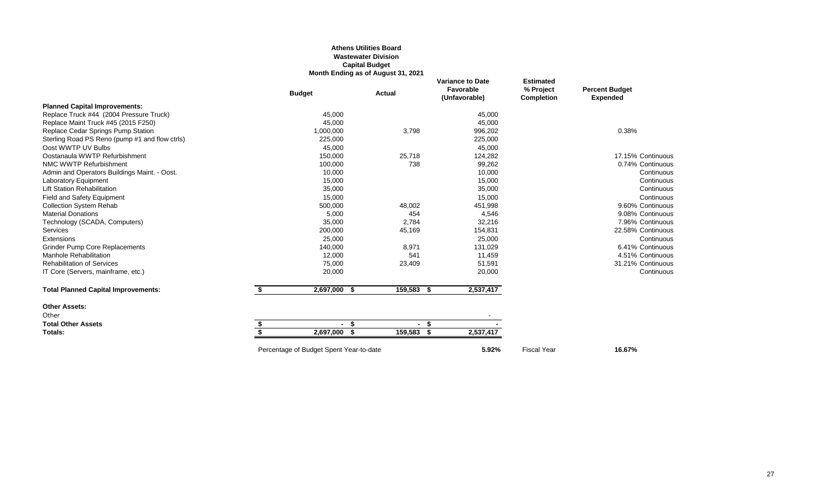#### **Athens Utilities Board Wastewater Division Capital Budget Month Ending as of August 31, 2021**

|                                                | <b>Budget</b> | <b>Actual</b> | <b>Variance to Date</b><br>Favorable<br>(Unfavorable) | <b>Estimated</b><br>% Project<br><b>Completion</b> | <b>Percent Budget</b><br><b>Expended</b> |
|------------------------------------------------|---------------|---------------|-------------------------------------------------------|----------------------------------------------------|------------------------------------------|
| <b>Planned Capital Improvements:</b>           |               |               |                                                       |                                                    |                                          |
| Replace Truck #44 (2004 Pressure Truck)        | 45,000        |               | 45,000                                                |                                                    |                                          |
| Replace Maint Truck #45 (2015 F250)            | 45,000        |               | 45,000                                                |                                                    |                                          |
| Replace Cedar Springs Pump Station             | 1,000,000     | 3,798         | 996,202                                               |                                                    | 0.38%                                    |
| Sterling Road PS Reno (pump #1 and flow ctrls) | 225,000       |               | 225,000                                               |                                                    |                                          |
| Oost WWTP UV Bulbs                             | 45,000        |               | 45,000                                                |                                                    |                                          |
| Oostanaula WWTP Refurbishment                  | 150,000       | 25,718        | 124,282                                               |                                                    | 17.15% Continuous                        |
| NMC WWTP Refurbishment                         | 100,000       | 738           | 99,262                                                |                                                    | 0.74% Continuous                         |
| Admin and Operators Buildings Maint. - Oost.   | 10,000        |               | 10,000                                                |                                                    | Continuous                               |
| <b>Laboratory Equipment</b>                    | 15,000        |               | 15,000                                                |                                                    | Continuous                               |
| <b>Lift Station Rehabilitation</b>             | 35,000        |               | 35,000                                                |                                                    | Continuous                               |
| Field and Safety Equipment                     | 15,000        |               | 15,000                                                |                                                    | Continuous                               |
| <b>Collection System Rehab</b>                 | 500,000       | 48,002        | 451,998                                               |                                                    | 9.60% Continuous                         |
| <b>Material Donations</b>                      | 5,000         | 454           | 4,546                                                 |                                                    | 9.08% Continuous                         |
| Technology (SCADA, Computers)                  | 35,000        | 2,784         | 32,216                                                |                                                    | 7.96% Continuous                         |
| Services                                       | 200,000       | 45,169        | 154,831                                               |                                                    | 22.58% Continuous                        |
| Extensions                                     | 25,000        |               | 25,000                                                |                                                    | Continuous                               |
| <b>Grinder Pump Core Replacements</b>          | 140,000       | 8,971         | 131,029                                               |                                                    | 6.41% Continuous                         |
| <b>Manhole Rehabilitation</b>                  | 12,000        | 541           | 11,459                                                |                                                    | 4.51% Continuous                         |
| <b>Rehabilitation of Services</b>              | 75,000        | 23,409        | 51,591                                                |                                                    | 31.21% Continuous                        |
| IT Core (Servers, mainframe, etc.)             | 20,000        |               | 20,000                                                |                                                    | Continuous                               |
| <b>Total Planned Capital Improvements:</b>     | 2,697,000 \$  | 159,583 \$    | 2,537,417                                             |                                                    |                                          |
| <b>Other Assets:</b>                           |               |               |                                                       |                                                    |                                          |
| Other                                          |               |               |                                                       |                                                    |                                          |
| <b>Total Other Assets</b>                      | - \$          | - \$          |                                                       |                                                    |                                          |
| Totals:                                        | 2,697,000 \$  | 159,583       | 2,537,417                                             |                                                    |                                          |
|                                                |               |               |                                                       |                                                    |                                          |

Percentage of Budget Spent Year-to-date **16.67%** 5.92% Fiscal Year **16.67%**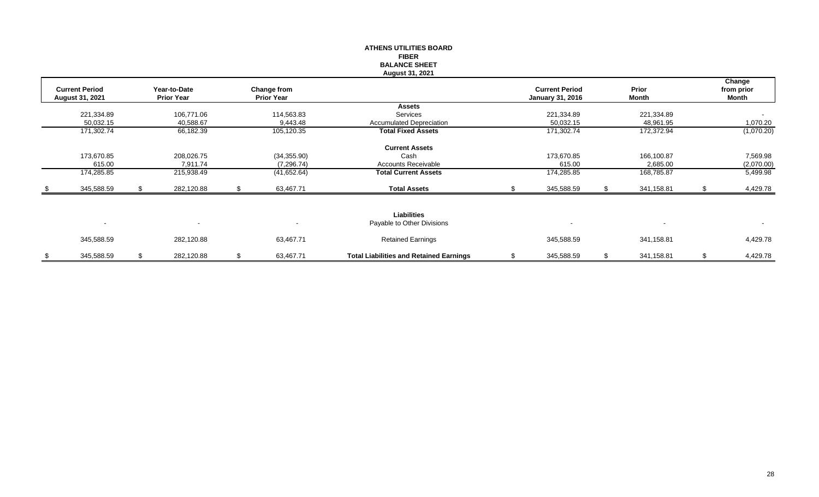|                          |    |                   |    |                   | <b>ATHENS UTILITIES BOARD</b>                  |                         |                  |    |                      |
|--------------------------|----|-------------------|----|-------------------|------------------------------------------------|-------------------------|------------------|----|----------------------|
|                          |    |                   |    |                   | <b>FIBER</b>                                   |                         |                  |    |                      |
|                          |    |                   |    |                   | <b>BALANCE SHEET</b>                           |                         |                  |    |                      |
|                          |    |                   |    |                   | August 31, 2021                                |                         |                  |    |                      |
| <b>Current Period</b>    |    | Year-to-Date      |    | Change from       |                                                | <b>Current Period</b>   | Prior            |    | Change<br>from prior |
| August 31, 2021          |    | <b>Prior Year</b> |    | <b>Prior Year</b> |                                                | <b>January 31, 2016</b> | Month            |    | Month                |
|                          |    |                   |    |                   | <b>Assets</b>                                  |                         |                  |    |                      |
| 221,334.89               |    | 106,771.06        |    | 114,563.83        | Services                                       | 221,334.89              | 221,334.89       |    | $\sim$               |
| 50,032.15                |    | 40,588.67         |    | 9,443.48          | <b>Accumulated Depreciation</b>                | 50,032.15               | 48,961.95        |    | 1,070.20             |
| 171,302.74               |    | 66,182.39         |    | 105,120.35        | <b>Total Fixed Assets</b>                      | 171,302.74              | 172,372.94       |    | (1,070.20)           |
|                          |    |                   |    |                   | <b>Current Assets</b>                          |                         |                  |    |                      |
| 173,670.85               |    | 208,026.75        |    | (34, 355.90)      | Cash                                           | 173,670.85              | 166,100.87       |    | 7,569.98             |
| 615.00                   |    | 7,911.74          |    | (7, 296.74)       | Accounts Receivable                            | 615.00                  | 2,685.00         |    | (2,070.00)           |
| 174,285.85               |    | 215,938.49        |    | (41,652.64)       | <b>Total Current Assets</b>                    | 174,285.85              | 168,785.87       |    | 5,499.98             |
| 345,588.59               | S. | 282,120.88        | S. | 63,467.71         | <b>Total Assets</b>                            | 345,588.59              | 341,158.81       | .S | 4,429.78             |
|                          |    |                   |    |                   |                                                |                         |                  |    |                      |
|                          |    |                   |    |                   | <b>Liabilities</b>                             |                         |                  |    |                      |
| $\overline{\phantom{a}}$ |    |                   |    |                   | Payable to Other Divisions                     |                         |                  |    | $\sim$               |
| 345,588.59               |    | 282,120.88        |    | 63,467.71         | <b>Retained Earnings</b>                       | 345,588.59              | 341,158.81       |    | 4,429.78             |
| \$<br>345,588.59         | \$ | 282,120.88        | \$ | 63,467.71         | <b>Total Liabilities and Retained Earnings</b> | \$<br>345,588.59        | \$<br>341,158.81 | \$ | 4,429.78             |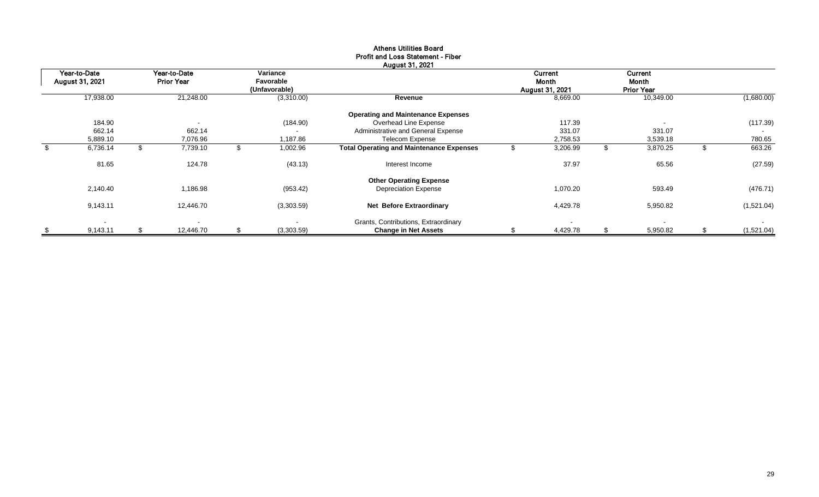| Year-to-Date<br>August 31, 2021 |    | Year-to-Date<br><b>Prior Year</b> | Variance<br>Favorable<br>(Unfavorable) |                                                 | Current<br><b>Month</b><br><b>August 31, 2021</b> | Current<br>Month<br><b>Prior Year</b> |    |            |
|---------------------------------|----|-----------------------------------|----------------------------------------|-------------------------------------------------|---------------------------------------------------|---------------------------------------|----|------------|
| 17,938.00                       |    | 21,248.00                         | (3,310.00)                             | Revenue                                         | 8,669.00                                          | 10,349.00                             |    | (1,680.00) |
|                                 |    |                                   |                                        | <b>Operating and Maintenance Expenses</b>       |                                                   |                                       |    |            |
| 184.90                          |    | $\overline{\phantom{a}}$          | (184.90)                               | Overhead Line Expense                           | 117.39                                            |                                       |    | (117.39)   |
| 662.14                          |    | 662.14                            | $\overline{\phantom{a}}$               | Administrative and General Expense              | 331.07                                            | 331.07                                |    | $\sim$     |
| 5,889.10                        |    | 7,076.96                          | 1,187.86                               | <b>Telecom Expense</b>                          | 2,758.53                                          | 3,539.18                              |    | 780.65     |
| \$<br>6,736.14                  | \$ | 7,739.10                          | \$<br>1,002.96                         | <b>Total Operating and Maintenance Expenses</b> | 3,206.99                                          | \$<br>3,870.25                        | ъ  | 663.26     |
| 81.65                           |    | 124.78                            | (43.13)                                | Interest Income                                 | 37.97                                             | 65.56                                 |    | (27.59)    |
|                                 |    |                                   |                                        | <b>Other Operating Expense</b>                  |                                                   |                                       |    |            |
| 2,140.40                        |    | 1,186.98                          | (953.42)                               | <b>Depreciation Expense</b>                     | 1,070.20                                          | 593.49                                |    | (476.71)   |
| 9,143.11                        |    | 12,446.70                         | (3,303.59)                             | <b>Net Before Extraordinary</b>                 | 4,429.78                                          | 5,950.82                              |    | (1,521.04) |
| $\overline{\phantom{a}}$        |    | $\overline{\phantom{a}}$          | $\blacksquare$                         | Grants, Contributions, Extraordinary            |                                                   | $\blacksquare$                        |    | $\sim$     |
| 9,143.11                        | S  | 12,446.70                         | \$<br>(3,303.59)                       | <b>Change in Net Assets</b>                     | 4,429.78                                          | \$<br>5,950.82                        | \$ | (1,521.04) |

#### Athens Utilities Board Profit and Loss Statement - Fiber August 31, 2021